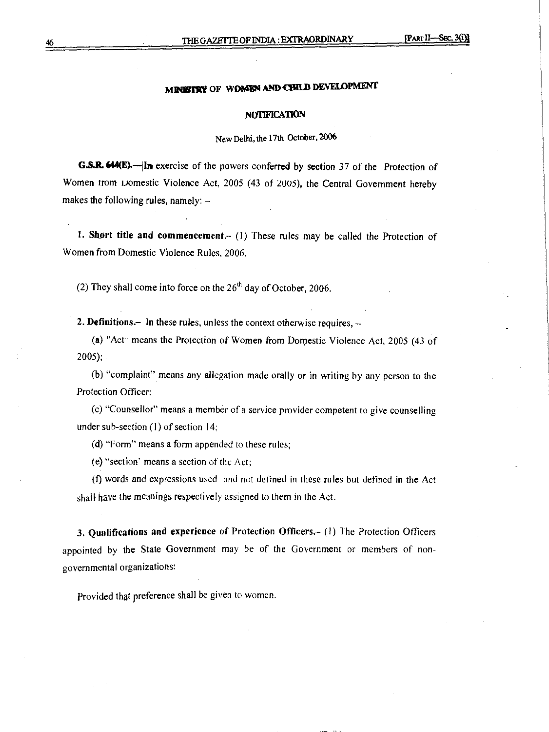# **MINISTRY OF WOMEN AND CHILD DEVELOPMENT**

#### **NOTIFICATION**

New **Delhi, the 17th October, 2006** 

**G.S.R. 644(E).** In exercise of the powers conferred by section 37 of the Protection of Women trom Domestic Violence Act, 2005 (43 of 2005), the Central Government hereby **makes the following rules, namely: —** 

**I. Short title and commencement.— (I) These rules may be called the Protection of Women from Domestic Violence Rules, 2006.** 

(2) They shall come into force on the 26<sup>th</sup> day of October, 2006.

**2. Definitions.— In these rules, unless the context otherwise requires, -** 

**(a) "Act means the Protection of Women from Domestic Violence Act, 2005 (43 of 2005);** 

**(b) "complaint" means any allegation made orally or in writing by any person to the Protection Officer;** 

**(c) "Counsellor" means a member of a service provider competent to give counselling under sub-section (1) of section 14,** 

**(d) "Form" means a form appended to these rules;** 

**(e) "section' means a section** of the **Act;** 

**(f) words and expressions** used and not **defined in these rules but defined in the** Act **shall** have **the meanings respectively** assigned to them **in the Act.** 

**3. Qualifications and experience of Protection Officers.— (1)** The Protection **Officers appointed by the State Government may be of the Government or members of nongovernmental organizations:** 

**Provided that preference shall be given to women.**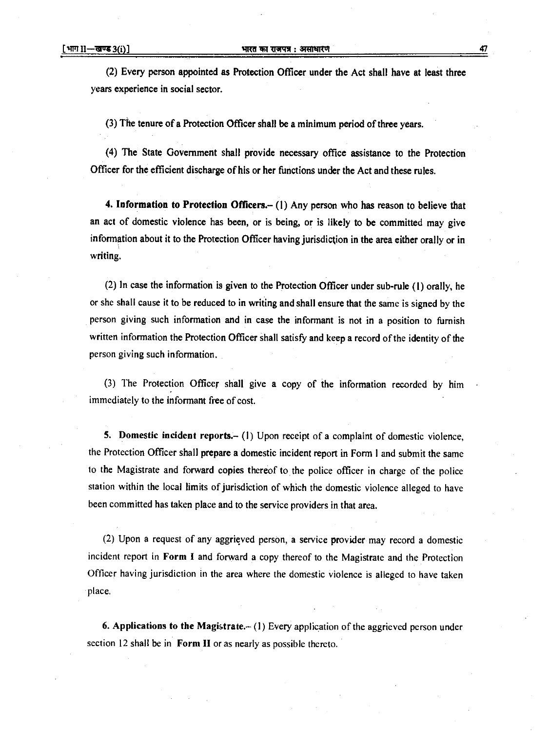(2) Every person appointed as Protection Officer under the Act shall have at least three years experience in social sector.

(3) The tenure of a Protection Officer shall be a minimum period of three years.

(4) The State Government shall provide necessary office assistance to the Protection Officer for the efficient discharge of his or her functions under the Act and these rules.

**4. Information to Protection Officers.—** (1) Any person who has reason to believe that an act of domestic violence has been, or is being, or is likely to be committed may give information about it to the Protection Officer having jurisdiction in the area either orally or in writing.

(2) In case the information is given to the Protection Officer under sub-rule (1) orally, he or she shall cause it to be reduced to in writing and shall ensure that the same is signed by the person giving such information and in case the informant is not in a position to furnish written information the Protection Officer shall satisfy and keep a record of the identity of the person giving such information.

(3) The Protection Officer shall give a copy of the information recorded by him immediately to the informant free of cost.

5. Domestic incident reports.— (I) Upon receipt of a complaint of domestic violence, the Protection Officer shall prepare a domestic incident report in Form **I** and submit the same to the Magistrate and forward copies thereof to the police officer in charge of the police station within the local limits of jurisdiction of which the domestic violence alleged to have been committed has taken place and to the service providers in that area.

(2) Upon a request of any aggrieved person, a service provider may record a domestic incident report in Form **I** and forward a copy thereof to the Magistrate and the Protection Officer having jurisdiction in the area where the domestic violence is alleged to have taken place.

**6. Applications to the Magistrate.— (I)** Every application of the aggrieved person under section 12 shall be in **Form II** or as nearly as possible thereto.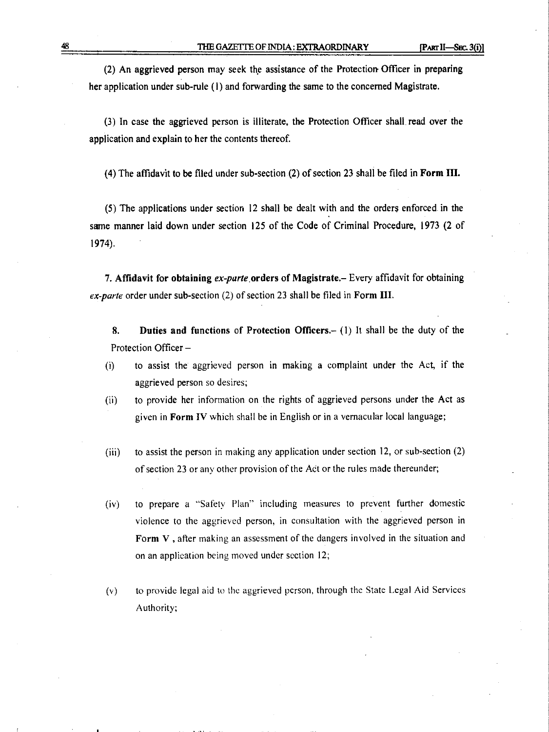(2) An aggrieved person may seek the assistance of the Protection. Officer in preparing her application under sub-rule (1) and forwarding the same to the concerned Magistrate.

(3) In case the aggrieved person is illiterate, the Protection Officer shall read over the application and explain to her the contents thereof.

(4) The affidavit to be filed under sub-section (2) of section 23 shall be filed in **Form III.** 

(5) The applications under section 12 shall be dealt with and the orders enforced in the same manner laid down under section 125 of the Code of Criminal Procedure, 1973 (2 of 1974).

7. **Affidavit for obtaining** *ex-parte .orders* **of Magistrate.–** Every affidavit for obtaining ex-parte order under sub-section (2) of section 23 shall be filed in **Form** 

**8. Duties and functions of Protection Officers.–** (1) It shall be the duty of the Protection Officer –

- (i) to assist the aggrieved person in making a complaint under the Act, if the aggrieved person so desires;
- (ii) to provide her information on the rights of aggrieved persons under the Act as given in **Form IV** which shall be in English or in a vernacular local language;
- (iii) to assist the person in making any application under section 12, or sub-section (2) of section 23 or any other provision of the Act or the rules made thereunder;
- (iv) to prepare a "Safety Plan" including measures to prevent further domestic violence to the aggrieved person, in consultation with the aggrieved person in Form V, after making an assessment of the dangers involved in the situation and on an application being moved under section 12;
- (v) to provide legal aid to the aggrieved person, through the State Legal Aid Services Authority;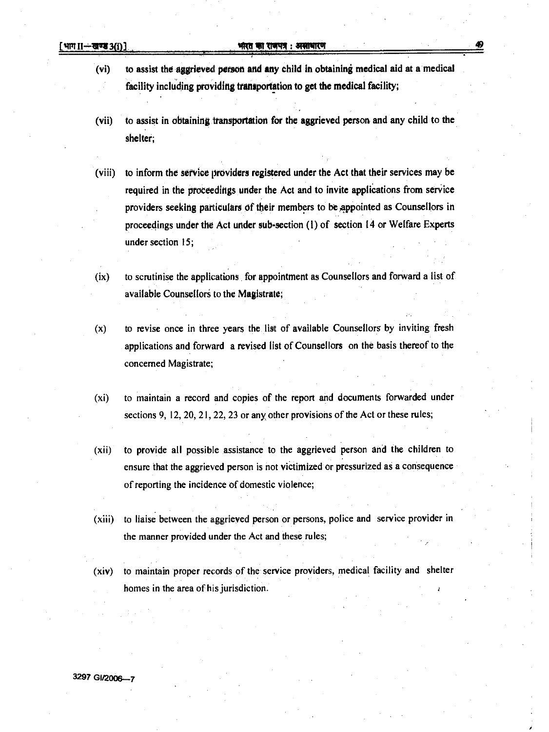- **(vi) to assist the aggrieved person and any child in obtaining medical aid at a medical facility including providing transportation to get the medical facility;**
- **(vii) to assist in obtaining transportation for the aggrieved person and any child to the shelter;**
- **(viii) to inform the service providers registered under the Act that their services may be required in the proceedings under the Act and to invite applications from service providers seeking particulars of their members to be ,appointed as Counsellors in proceedings under the Act under sub-section (1) of section 14 or Welfare Experts under section 15;**
- **(ix) to scrutinise the applications for appointment as Counsellors and forward a list of**  available Counsellors to the Magistrate;
- **(x) to revise once in three years the list of available Counsellors by inviting fresh applications and forward a revised list of Counsellors on the basis thereof to the concerned Magistrate;**
- **(xi) to maintain a record and copies of the report and documents forwarded under sections 9, 12, 20, 21, 22, 23 or any other provisions of the Act or these rules;**
- **(xii) to provide all possible assistance to the aggrieved person and the children to ensure that the aggrieved person is not victimized or pressurized as a consequence of reporting the incidence of domestic violence;**
- **(xiii) to liaise between the aggrieved person or persons, police and service provider in the manner provided under the Act and these rules;**
- **(xiv) to maintain proper records of the service providers, medical facility and shelter homes in the area of his jurisdiction.**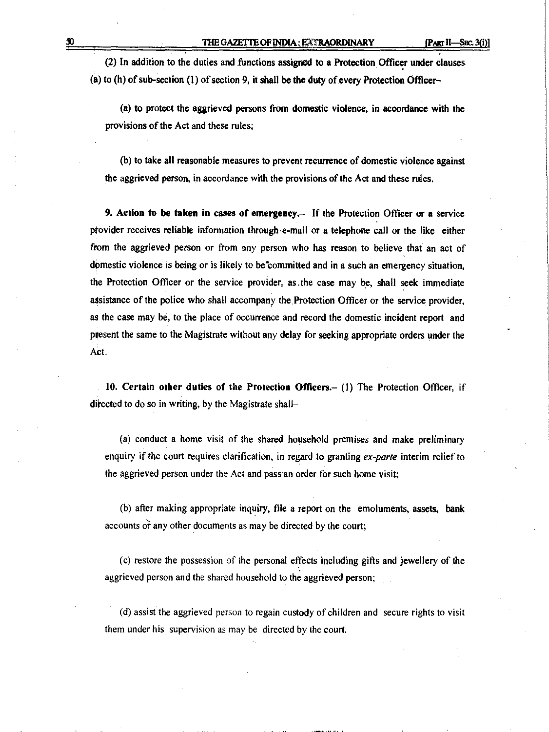**(2) In addition to the duties and functions assigned to a Protection Officer under clauses (a) to (h) of sub-section (1) of section 9, it shall be the duty of every Protection Officer—** 

**(a) to protect the aggrieved persons from domestic violence, in accordance with the provisions of the Act and these rules;** 

**(b) to take all reasonable measures to prevent recurrence of domestic violence against the aggrieved person, in accordance with the provisions of the Act and these rules.** 

**9. Action to be taken in cases of emergency.— If the Protection Officer or a service provider receives reliable information through-e-mail or a telephone call or the like either from the aggrieved person or from any person who has reason to believe that an act of domestic violence is being or is likely to be committed and in a such an emergency situation, the Protection Officer or the service provider, as .the case may be, shall seek immediate assistance of the police who shall accompany the.Protection Officer or the service provider, as the case may be, to the place of occurrence and record the domestic incident report and present the same to the Magistrate without any delay for seeking appropriate orders under the Act.** 

**10. Certain other duties of the Protection Officers.— (I) The Protection Officer, if**  directed to do so in writing, by the Magistrate shall-

**(a) conduct a home visit of the shared household premises and make preliminary enquiry if the court requires clarification, in regard to granting** *ex-parte* **interim relief to**  *the* **aggrieved person under the Act and pass an order for such home visit;** 

**(b) after making appropriate inquiry, file a report on the emoluments, assets, bank accounts or any other documents as may be directed by the court;** 

**(c) restore the possession of the personal effects including gifts and jewellery of the aggrieved person and the shared household to the aggrieved person;** 

**(d) assist the aggrieved person to regain custody of children and secure rights to visit them under his supervision as may be directed by the court.**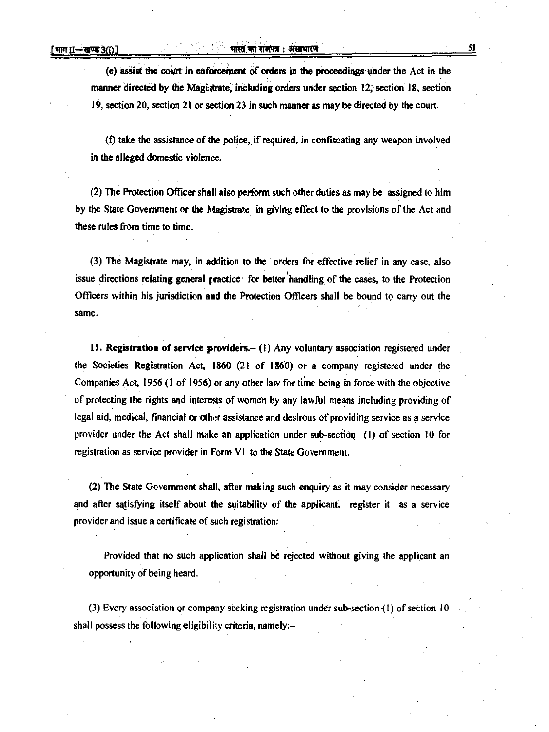### **1 1 Tirofca : 3i4riggin 51 •**

**(e) assist the court in enforcement of orders in the proceedings, Under the Act in the**  manner directed by the Magistrate, including orders under section 12, section 18, section **19, section 20, section 21 or section 23 in such manner as may be directed by the court.** 

**(f) take the assistance of the police,. if required, in confiscating any weapon involved in the alleged domestic violence.** 

**(2) The Protection Officer shall also pertbrm such other duties as may be assigned to him**  by the State Government or the Magistrate in giving effect to the provisions of the Act and **these rules from time to time.** 

**(3) The Magistrate may, in addition to the orders for effective relief in any case, also issue directions relating general practice .for better handling of the cases, to the Protection Officers within his jurisdiction and the Protection Officers shall be bound to carry out the Same.** 

**11. Registration of service providers.— (1) Any voluntary association registered under the Societies Registration Act, 11860 (21 of 1860) or a company registered under the Companies Act, 1956 (1 of 1956) or any other law for time being in force with the objective of protecting the rights and interests of women by any lawful means including providing of legal aid, medical, financial or other assistance and desirous of providing service as a service provider under the Act shall make an application under sub-section (I) of section 10 for**  registration as service provider in Form VI to the State Government.

**(2) The State Government shall, after making such enquiry as it may consider necessary and after satisfying itself about the suitability of the applicant, register it** *as a* **service provider and issue a certificate of such registration:** 

**Provided that no such application shall be rejected without giving the applicant an opportunity of being heard.** 

**(3) Every association or company seeking registration under sub-section (1) of section 10 shall possess the following eligibility criteria, namely:—**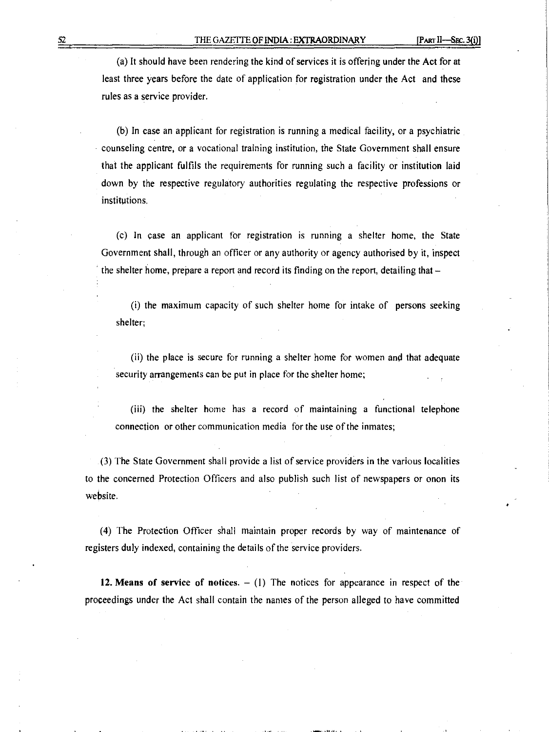(a) It should have been rendering the kind of services it is offering under the Act for at least three years before the date of application for registration under the Act and these rules as a service provider.

(b) In case an applicant for registration is running a medical facility, or a psychiatric counseling centre, or a vocational training institution, the State Government shall ensure that the applicant fulfils the requirements for running such a facility or institution laid down by the respective regulatory authorities regulating the respective professions or institutions.

(c) In case an applicant for registration is running a shelter home, the State Government shall, through an officer or any authority or agency authorised by it, inspect the shelter home, prepare a report and record its finding on the report, detailing that —

(i) the maximum capacity of such shelter home for intake of persons seeking shelter;

(ii) the place is secure for running a shelter home for women and that adequate security arrangements can be put in place for the shelter home;

(iii) the shelter home has a record of maintaining a functional telephone connection or other communication media for the use of the inmates;

(3) The State Government shall provide a list of service providers in the various localities to the concerned Protection Officers and also publish such list of newspapers or onon its website.

(4) The Protection Officer shall maintain proper records by way of maintenance of registers duly indexed, containing the details of the service providers.

**12. Means of service of notices. —** (1) The notices for appearance in respect of the proceedings under the Act shall contain the names of the person alleged to have committed

**.11 ii. .NEW. 1111 11**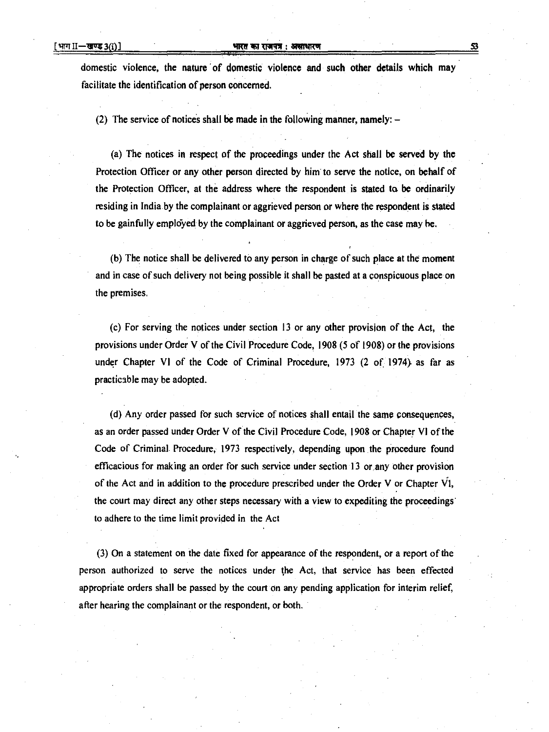domestic violence, the nature of domestic violence and such other details which may **facilitate the identification of person concerned.** 

**(2) The service of notices shall be made in the following manner, namely: —** 

**(a) The notices in respect of the proceedings under the Act shall be served by the Protection Officer or any other person directed by him' to serve the notice, on behalf of the Protection Officer, at the address where the respondent is stated to be ordinarily residing in India by the complainant or aggrieved person or where the respondent is stated**  to be gainfully employed by the complainant or aggrieved person, as the case may be.

**(b) The notice shall be delivered to any person in charge of such place at the moment and in case of such delivery not being possible it shall be pasted at a conspicuous place on the premises,** 

**(c) For serving the notices under section 13 or any other provision of the Act, the provisions under Order V of the Civil Procedure Code, 1908 (5 of 1908) or the provisions under Chapter VI of the Code of Criminal Procedure, 1973 (2 of 1974). as far as practicable may be adopted.** 

**(d) Any order passed for such service of notices shall entail the same consequences, as an order passed under Order V of the Civil Procedure Code, 1908 or Chapter VI of the Code of Criminal. Procedure, 1973 respectively, depending upon the procedure found**  efficacious for making an order for such service under section 13 or any other provision **of the Act and in addition to the procedure prescribed under the Order V or Chapter the court may direct any other steps necessary with a view to expediting the proceedings. to adhere to the time limit provided in the Act** 

**(3) On a statement on the date fixed for appearance of the respondent, or a report of the person authorized to serve the notices under the Act, that service has been effected appropriate orders shall be passed by the court on any pending application for interim relief, after hearing the complainant or the respondent, or both.**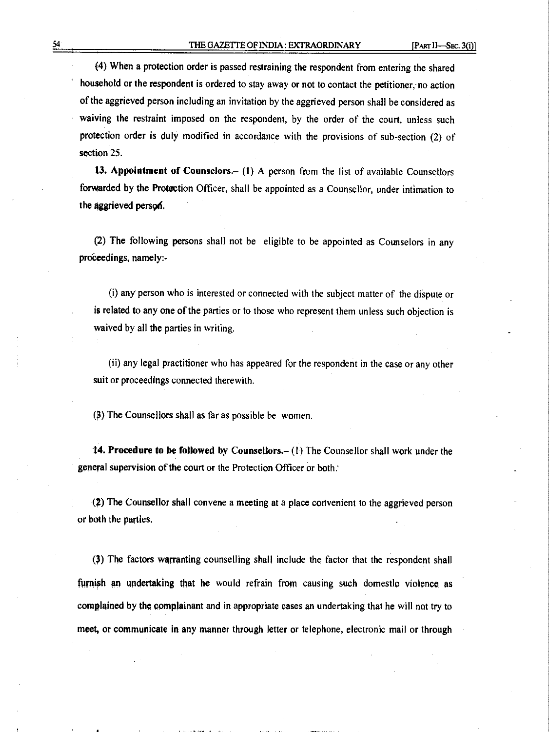**(4) When a protection order is passed restraining the respondent from entering the shared**  household or the respondent is ordered to stay away or not to contact the petitioner, no action **of the aggrieved person including an invitation by the aggrieved person shall be considered as waiving the restraint imposed on the respondent, by the order of the court, unless such protection order is duly modified in accordance with the provisions of sub-section (2) of section 25.** 

**13. Appointment of Counselors.— (1) A person from the list of available Counsellors forwarded by the Protection Officer, shall be appointed as a Counsellor, under intimation to**  the aggrieved person.

**(2) The following persons shall not be eligible to be appointed as Counselors in any proCeedings, namely:-** 

**(i) any** person who is interested or connected with the subject matter of the dispute or **is related to any one of the** parties or to those who represent them unless **such objection is waived by all the parties in writing.** 

**(ii) any legal practitioner who has appeared** for the respondent in the case or any other suit or proceedings connected therewith.

**(\$) The Counsellors shall** as far **as possible be women.** 

**14. Procedure to be followed by Counsellors.— (I) The Counsellor shall work under the general supervision of the court or the Protection Officer or both:** 

() **The Counsellor shall convene a meeting at a place convenient to the aggrieved person or bath the parties.** 

**(3) The factors warranting counselling shall include the factor that the respondent shall furnish** an **undertaking that he would refrain from causing such domestic violence as complained by the complainant and in appropriate cases an undertaking that he will not try to meet, or communicate in any manner through letter or telephone, electronic mail or through**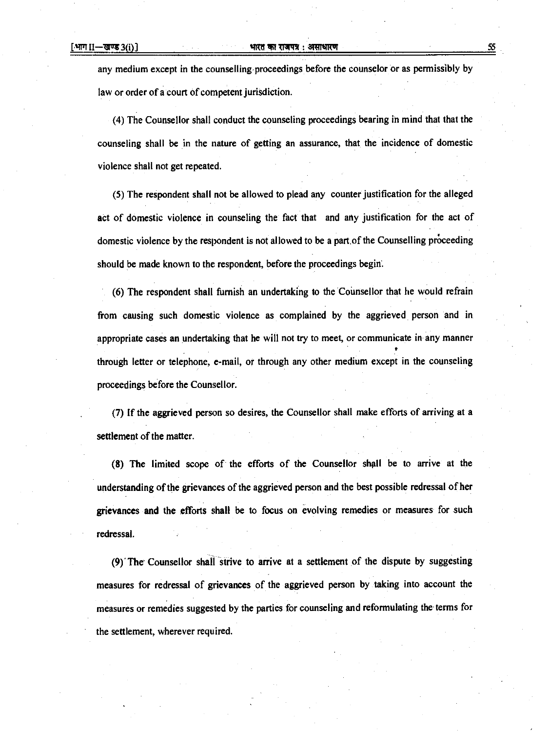#### **[WIT 11-1117g 3(i)] %MT TT VIM :** 371 Roi

any medium except in the counselling proceedings before the counselor or as permissibly by **law or order of a court of competent jurisdiction.** 

**(4) The Counsellor shall conduct the counseling proceedings bearing in mind that that the counseling shall be in the nature of getting an assurance, that the incidence of domestic violence shall not get repeated.** 

**(5) The respondent shall not be allowed to plead any counter justification for the alleged act of domestic violence in counseling the fact that and any justification for the act of domestic violence by the respondent is not allowed to be a part.of the Counselling proceeding should be made known to the respondent, before the proceedings begin..** 

**(6) The respondent shall furnish an undertaking to the Counsellor that he would refrain from causing such domestic violence as complained by the aggrieved person and in appropriate cases an undertaking that he will not try to meet, or communicate in any manner through letter or telephone, e-mail, or through any other medium except in the counseling proceedings before the Counsellor.** 

**(7) If the aggrieved person so desires, the Counsellor shall make efforts of arriving at a settlement of the matter.** 

**(8) The limited scope of the efforts of the Counsellor shall be to arrive at the understanding of the grievances of the aggrieved person and the best possible redressal of her grievances and the efforts shall be to focus on evolving remedies or measures for such redressal.** 

**(9).The Counsellor shall strive to arrive at a settlement of the dispute by suggesting measures for redressal of grievances of the aggrieved person by taking into account the measures or remedies suggested by the parties for counseling and reformulating the terms for the settlement, wherever required.**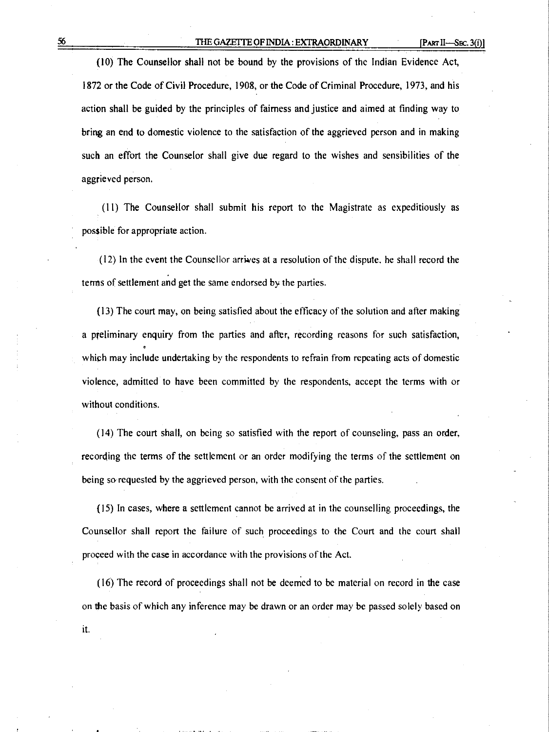(10) The Counsellor shall not be bound by the provisions of the Indian Evidence Act, 1872 or the Code of Civil Procedure, 1908, or the Code of Criminal Procedure, 1973, and his action shall be guided by the principles of fairness and justice and aimed at finding way to bring an end to domestic violence to the satisfaction of the aggrieved person and in making such an effort the Counselor shall give due regard to the wishes and sensibilities of the aggrieved person.

(11) The Counsellor shall submit his report to the Magistrate as expeditiously as possible for appropriate action.

(12) In the event the Counsellor arrives at a resolution of the dispute. he shall record the terms of settlement and get the same endorsed by the parties.

(13) The court may, on being satisfied about the efficacy of the solution and after making a preliminary enquiry from the parties and after, recording reasons for such satisfaction, which may include undertaking by the respondents to refrain from repeating acts of domestic violence, admitted to have been committed by the respondents, accept the terms with or without conditions.

(14) The court shall, on being so satisfied with the report of counseling, pass an order, recording the terms of the settlement or an order modifying the terms of the settlement on being so requested by the aggrieved person, with the consent of the parties.

(15) In cases, where a settlement cannot be arrived at in the counselling proceedings, the Counsellor shall report the failure of such proceedings to the Court and the court shall proceed with the case in accordance with the provisions of the Act.

(16) The record of proceedings shall not be deemed to be material on record in the case on the basis of which any inference may be drawn or an order may be passed solely based on it.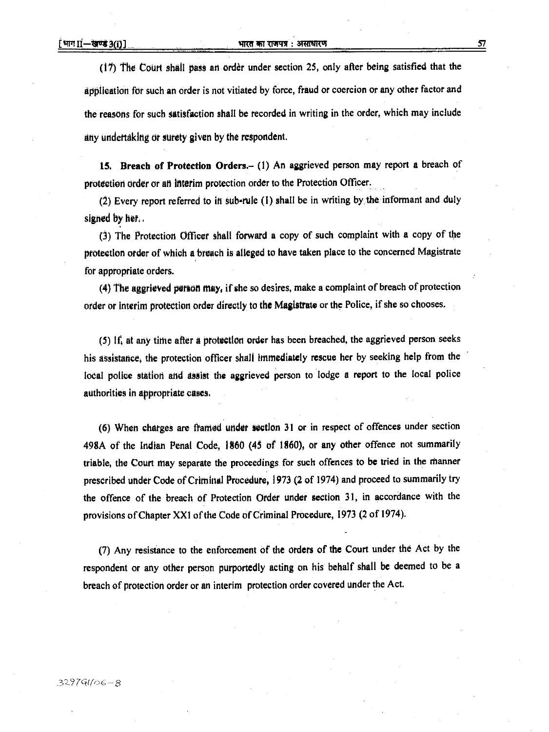#### भारत का राजपत्र: असाधारण

(17) The Court shall pass an order under section 25, only after being satisfied that the **application for such an order is not vitiated by force, fraud or coercion or any other factor and the reasons for such satisfaction shall be recorded in writing in the order, which may include any undertaking or surety given by the respondent.** 

**15. Breach of Protection Orders.— (1) An aggrieved person may report a breach of protection order or ati interim protection order to the Protection Officer.** 

**(2) Every report referred to in sub-rule (1) shall be in writing by the informant and duly signed by** *het* 

**(3) The Protection. Officer shall forward a copy of such complaint with a copy of the protection order of which a breach is alleged to have taken place to the concerned Magistrate for appropriate orders.** 

**(4) The aggrieved parson may, if she so desires, make a complaint of breach of protection order or interim protection order directly to** *the* **Magistrate or the Police, if she so chooses.** 

**(5) 14 at any tithe after a protection order has been breached, the aggrieved person seeks his assistance, the protection officer shall immediately rescue her by seeking help from the local police station and assist the aggrieved person to lodge a report to the local police authorities in appropriate cases,** 

(6) When charges are framed under section 31 or in respect of offences under section **498A of the Indian Penal Code, 1860 (45 of 1860), or any other offence not summarily triable, the Court may separate the proceedings for such offences to be tried in the Manner prescribed under Code of Criminal Procedure, 1973 (2 of 1974) and proceed to summarily try the offence of the breach of Protection Order under section 31, in accordance with the provisions of Chapter XX1 of the Code of Criminal Procedure, 1973 (2 of 1974).** 

**(7) Any resistance to the enforcement of the orders of the Court under the Act by the respondent or any other person purportedly acting on his behalf shall be deemed to be a breach of protection order or an interim protection order covered under the Act.**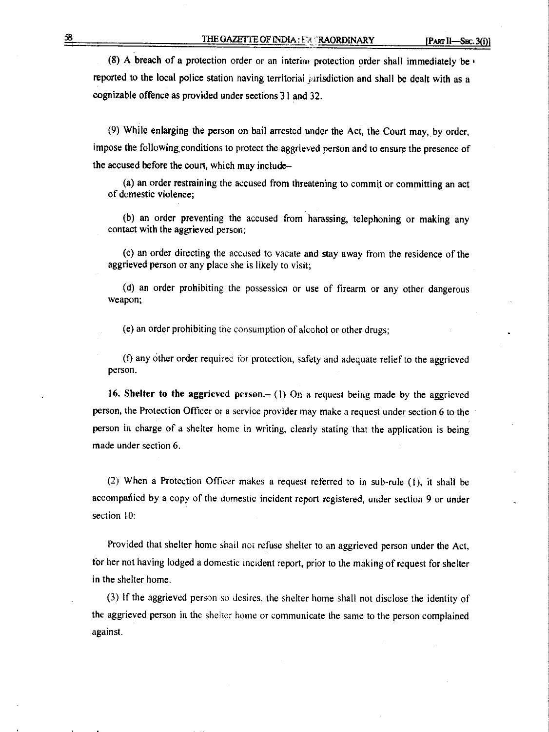(8) A breach of a protection order or an interim protection order shall immediately be  $\cdot$ reported to the local police station having territorial jurisdiction and shall be dealt with as a cognizable offence as provided under sections 31 and 32.

(9) While enlarging the person on bail arrested under the Act, the Court may, by order, impose the following, conditions to protect the aggrieved person and to ensure the presence of the accused before the court, which may include–

(a) an order restraining the accused from threatening to commit or committing an act of domestic violence;

(b) an order preventing the accused from harassing, telephoning or making any contact with the aggrieved person;

(c) an order directing the accused to vacate and stay away from the residence of the aggrieved person or any place she is likely to visit;

(d) an order prohibiting the possession or use of firearm or any other dangerous weapon;

(e) an order prohibiting the consumption of alcohol or other drugs;

(f) any other order required for protection, safety and adequate relief to the aggrieved person.

**16. Shelter to the aggrieved person.– ( I)** On a request being made by the aggrieved person, the Protection Officer or a service provider may make a request under **section 6** to the person in charge of a shelter home in writing, clearly stating that the application is being made under section 6.

(2) When a Protection Officer makes a request referred to in sub-rule (1), it shall be accompanied by a copy of the domestic incident report registered, under section 9 or under section 10:

Provided that shelter home shall not refuse shelter to an aggrieved person under the Act, for her not having lodged a domestic incident report, prior to the making of request for shelter in the shelter home.

(3) if the aggrieved person so desires, the shelter home shall not disclose the identity of the aggrieved person in the shelter home or communicate the same to the person complained against.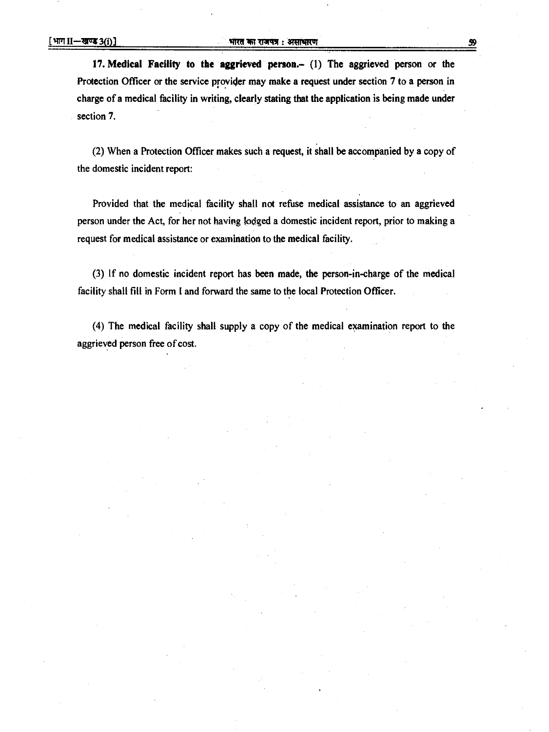**17. Medical Facility to the aggrieved person.— (I) The aggrieved person or the Protection Officer or the service provider may make a request under section 7 to a person in charge of a medical facility in writing, clearly stating that the application is being made under section 7.** 

**(2) When a Protection Officer makes such a request, it shall be accompanied by a copy of the domestic incident report:** 

**Provided that the medical facility shall not refuse medical assistance to an aggrieved person under the Act, for her not having lodged a domestic incident report, prior to making a request for medical assistance or examination to the medical facility.** 

**(3) If no domestic incident report has been made, the person-in-charge of the medical facility shall fill in Form I and forward the same to the local Protection Officer.** 

**(4) The medical facility shall supply a copy of the medical examination report to the aggrieved person free of cost.**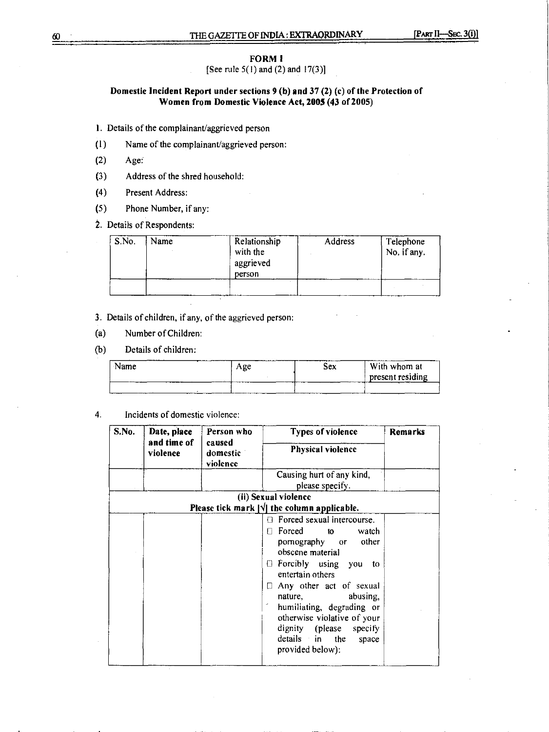### **FORM I**

[See rule  $5(1)$  and  $(2)$  and  $17(3)$ ]

### **Domestic Incident Report under sections 9 (b) and 37 (2)** (c) **of the Protection of Women from Domestic Violence Act, 2005 (43 of 2005)**

I. Details of the complainant/aggrieved person

- (1) Name of the complainant/aggrieved person:
- (2) Age:
- (3) Address of the shred household:
- (4) Present Address:
- (5) Phone Number, if any:
- 2. Details of Respondents:

| S.No. | Name | Relationship<br>with the<br>aggrieved<br>person | Address | Telephone<br>No. if any. |
|-------|------|-------------------------------------------------|---------|--------------------------|
|       |      |                                                 |         |                          |

3. Details of children, if any, of the aggrieved person:

(a) Number of Children:

(b) Details of children:

| -----<br>Name | Age | Sex | With whom at     |
|---------------|-----|-----|------------------|
|               |     |     | present residing |
|               |     |     |                  |

4. Incidents of domestic violence:

| S.No. | Date, place                       | Person who           | <b>Types of violence</b>                                                                                                                                                                                                                                                                                                                                            | Remarks |  |
|-------|-----------------------------------|----------------------|---------------------------------------------------------------------------------------------------------------------------------------------------------------------------------------------------------------------------------------------------------------------------------------------------------------------------------------------------------------------|---------|--|
|       | and time of<br>caused<br>violence | domestic<br>violence | <b>Physical violence</b>                                                                                                                                                                                                                                                                                                                                            |         |  |
|       |                                   |                      | Causing hurt of any kind,<br>please specify.                                                                                                                                                                                                                                                                                                                        |         |  |
|       |                                   |                      | (ii) Sexual violence                                                                                                                                                                                                                                                                                                                                                |         |  |
|       |                                   |                      | Please tick mark $ \sqrt{\ } $ the column applicable.                                                                                                                                                                                                                                                                                                               |         |  |
|       |                                   |                      | <b>B</b> Forced sexual intercourse.<br>$\Box$ Forced to<br>watch<br>pornography or other<br>obscene material<br><b>Exercibly</b> using you<br>to<br>entertain others<br>$\Box$ Any other act of sexual<br>abusing,<br>nature.<br>humiliating, degrading or<br>otherwise violative of your<br>dignity (please specify<br>details in the<br>space<br>provided below): |         |  |

60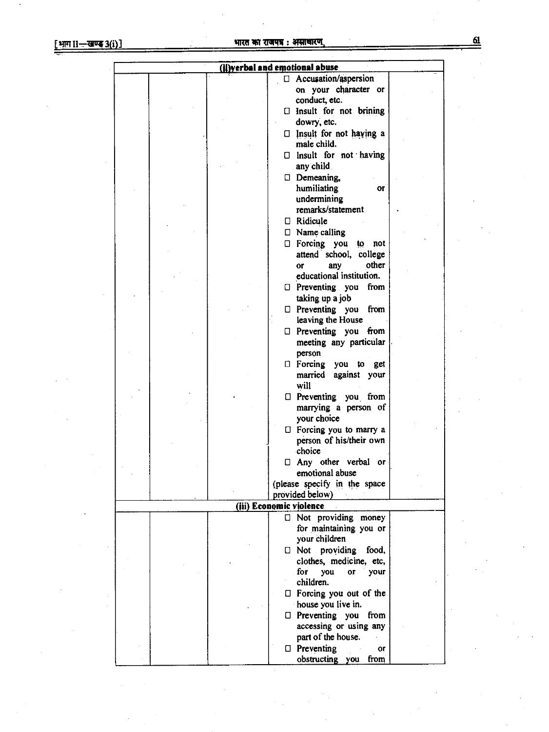| (ii)verbal and emotional abuse |  |  |                                              |  |  |  |  |
|--------------------------------|--|--|----------------------------------------------|--|--|--|--|
|                                |  |  | □ Accusation/aspersion                       |  |  |  |  |
|                                |  |  | on your character or                         |  |  |  |  |
|                                |  |  | conduct, etc.                                |  |  |  |  |
|                                |  |  | $\Box$ Insult for not brining                |  |  |  |  |
|                                |  |  | dowry, etc.                                  |  |  |  |  |
|                                |  |  | Insult for not having a<br>0                 |  |  |  |  |
|                                |  |  | male child.                                  |  |  |  |  |
|                                |  |  | $\Box$ lnsult for not having                 |  |  |  |  |
|                                |  |  | any child.                                   |  |  |  |  |
|                                |  |  | Demeaning,                                   |  |  |  |  |
|                                |  |  | humiliating<br>or                            |  |  |  |  |
|                                |  |  | undermining                                  |  |  |  |  |
|                                |  |  | remarks/statement                            |  |  |  |  |
|                                |  |  | □ Ridicule                                   |  |  |  |  |
|                                |  |  |                                              |  |  |  |  |
|                                |  |  | $\square$ Name calling                       |  |  |  |  |
|                                |  |  | $\Box$ Forcing you to not                    |  |  |  |  |
|                                |  |  | attend school, college                       |  |  |  |  |
|                                |  |  | other<br>any<br>0r                           |  |  |  |  |
|                                |  |  | educational institution.                     |  |  |  |  |
|                                |  |  | $\Box$ Preventing you<br>from                |  |  |  |  |
|                                |  |  | taking up a job                              |  |  |  |  |
|                                |  |  | $\Box$ Preventing you<br>from                |  |  |  |  |
|                                |  |  | leaving the House                            |  |  |  |  |
|                                |  |  | $\Box$ Preventing you from                   |  |  |  |  |
|                                |  |  | meeting any particular                       |  |  |  |  |
|                                |  |  | person                                       |  |  |  |  |
|                                |  |  | <b>I</b> Forcing you to get                  |  |  |  |  |
|                                |  |  | against your<br>married                      |  |  |  |  |
|                                |  |  | will                                         |  |  |  |  |
|                                |  |  | D Preventing you from                        |  |  |  |  |
|                                |  |  | marrying a person of                         |  |  |  |  |
|                                |  |  | your choice                                  |  |  |  |  |
|                                |  |  | $\Box$ Forcing you to marry a                |  |  |  |  |
|                                |  |  | person of his/their own                      |  |  |  |  |
|                                |  |  | choice                                       |  |  |  |  |
|                                |  |  | □ Any other verbal or                        |  |  |  |  |
|                                |  |  | emotional abuse                              |  |  |  |  |
|                                |  |  | (please specify in the space                 |  |  |  |  |
|                                |  |  | provided below)                              |  |  |  |  |
|                                |  |  | (iii) Economic violence                      |  |  |  |  |
|                                |  |  | □ Not providing money                        |  |  |  |  |
|                                |  |  | for maintaining you or                       |  |  |  |  |
|                                |  |  | your children                                |  |  |  |  |
|                                |  |  |                                              |  |  |  |  |
|                                |  |  | $\Box$ Not providing food,                   |  |  |  |  |
|                                |  |  | clothes, medicine, etc,                      |  |  |  |  |
|                                |  |  | fог<br>you<br><b>OF</b><br>your<br>children. |  |  |  |  |
|                                |  |  |                                              |  |  |  |  |
|                                |  |  | $\Box$ Forcing you out of the                |  |  |  |  |
|                                |  |  | house you live in.                           |  |  |  |  |
|                                |  |  | $\Box$ Preventing you<br>from                |  |  |  |  |
|                                |  |  | accessing or using any                       |  |  |  |  |
|                                |  |  | part of the house.                           |  |  |  |  |
|                                |  |  | $\Box$ Preventing<br>or                      |  |  |  |  |
|                                |  |  | obstructing you from                         |  |  |  |  |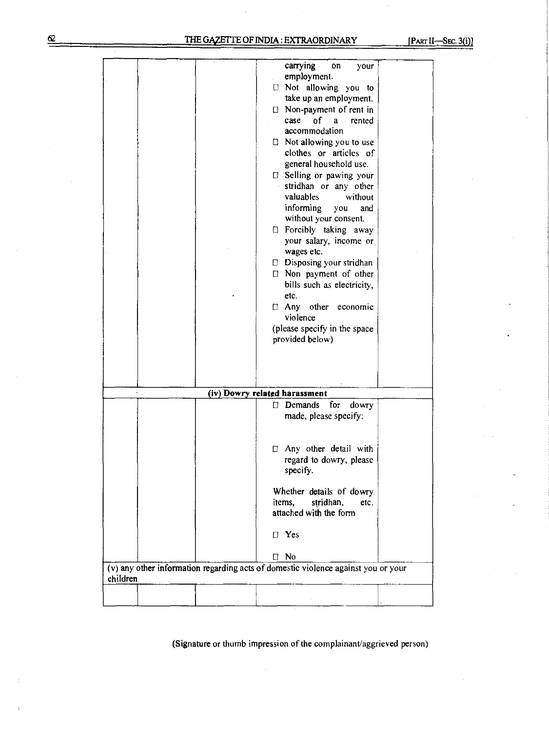|          |  | carrying<br>on<br>your<br>employment.<br>I Not allowing you to<br>take up an employment.<br>$\Box$ Non-payment of rent in<br>٥f<br>case<br>rented<br>$\mathbf{a}$<br>accommodation<br>$\Box$ Not allowing you to use<br>clothes or articles of<br>general household use.<br><b>Elling or pawing your</b><br>stridhan or any other<br>valuables<br>without<br>informing you<br>and<br>without your consent.<br><b>El Forcibly taking away</b><br>your salary, income or<br>wages etc.<br>D Disposing your stridhan<br>□ Non payment of other<br>bills such as electricity,<br>etc.<br>□ Any other economic<br>violence<br>(please specify in the space<br>provided below) |  |
|----------|--|--------------------------------------------------------------------------------------------------------------------------------------------------------------------------------------------------------------------------------------------------------------------------------------------------------------------------------------------------------------------------------------------------------------------------------------------------------------------------------------------------------------------------------------------------------------------------------------------------------------------------------------------------------------------------|--|
|          |  | (iv) Dowry related harassment                                                                                                                                                                                                                                                                                                                                                                                                                                                                                                                                                                                                                                            |  |
|          |  | for<br>$\Box$ Demands<br>dowry<br>made, please specify:<br>□ Any other detail with<br>regard to dowry, please<br>specify.<br>Whether details of dowry<br>stridhan,<br>items,<br>etc.<br>attached with the form<br>$\Box$ Yes<br>$\Box$ No                                                                                                                                                                                                                                                                                                                                                                                                                                |  |
| children |  | (v) any other information regarding acts of domestic violence against you or your                                                                                                                                                                                                                                                                                                                                                                                                                                                                                                                                                                                        |  |
|          |  |                                                                                                                                                                                                                                                                                                                                                                                                                                                                                                                                                                                                                                                                          |  |

(Signature or thumb impression of the complainant/aggrieved person)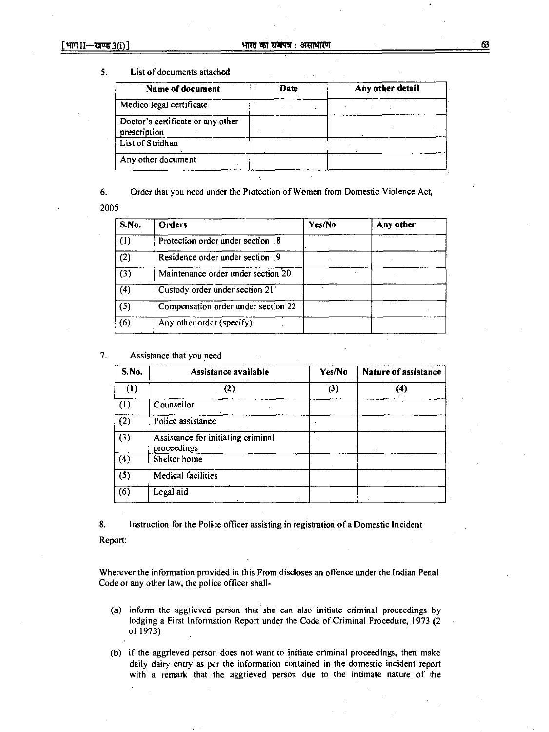### 5. List of documents attached

| Name of document                                  | <b>Date</b> | Any other detail |  |
|---------------------------------------------------|-------------|------------------|--|
| Medico legal certificate                          |             |                  |  |
| Doctor's certificate or any other<br>prescription |             |                  |  |
| List of Stridhan                                  |             |                  |  |
| Any other document                                |             |                  |  |

6. Order that you need under the Protection of Women from Domestic Violence Act,

2005

| S.No. | <b>Orders</b>                       | Yes/No | Any other |
|-------|-------------------------------------|--------|-----------|
| (1)   | Protection order under section 18   |        |           |
| (2)   | Residence order under section 19    |        |           |
| (3)   | Maintenance order under section 20  |        |           |
| (4)   | Custody order under section 21      |        |           |
| (5)   | Compensation order under section 22 |        |           |
| (6)   | Any other order (specify)           |        |           |

7. Assistance that you need

| <b>S.No.</b> | Assistance available                              | Yes/No | Nature of assistance |  |
|--------------|---------------------------------------------------|--------|----------------------|--|
| (1)          | $\left( 2\right)$                                 | (3)    | (4)                  |  |
| (1)          | Counsellor                                        |        |                      |  |
| (2)          | Police assistance                                 |        |                      |  |
| (3)          | Assistance for initiating criminal<br>proceedings |        |                      |  |
| (4)          | Shelter home                                      |        |                      |  |
| (5)          | <b>Medical facilities</b>                         |        |                      |  |
| (6)          | Legal aid                                         |        |                      |  |

8. Instruction for the Police officer assisting in registration of a Domestic Incident Report:

Wherever the information provided in this From discloses an offence under the Indian Penal Code or any other law, the police officer shall-

- (a) inform the aggrieved person that she can also initiate criminal proceedings by lodging a First Information Report under the Code of Criminal Procedure, 1973 (2 of 1973)
- (b) if the aggrieved person does not want to initiate criminal proceedings, then make daily dairy entry as per the information contained in the domestic incident report with a remark that the aggrieved person due to the intimate nature of the

63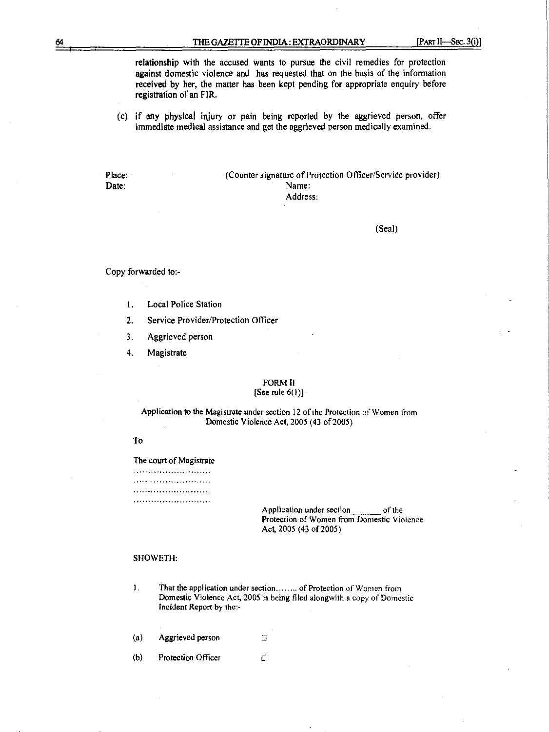**relationship with the accused wants to pursue the civil remedies for protection against domestic violence and has requested that on the basis of the information received by her, the matter has been kept pending for appropriate enquiry before**  registration **of an FIR.** 

**(c) if any physical injury or pain being reported by the aggrieved person, offer immediate medical assistance and get the aggrieved person medically examined.** 

Place: (Counter signature of Protection Officer/Service provider) Date: Name: **Name:** Name: **Name: Name: Name: Name: Name: Name: Name: Name: Name: Name: Name: Name: Name: Name: Name: Name: Name: Name: Name: Name: Name: Name: Name: Name: Nam Address:** 

**(Seal)** 

**Copy forwarded** to:-

- **1. Local Police Station**
- **2. Service Provider/Protection Officer**
- **3. Aggrieved person**
- **4. Magistrate**

### **FORM II [See rule 6(1)]**

**Application to the Magistrate under section 12 of the Protection of Women from Domestic Violence Act, 2005 (43 of 2005)** 

### **To**

**The court of Magistrate** 

......................... 

> **Application under section of the Protection of Women from Domestic Violence Act, 2005 (43 of 2005)**

#### **SHOWETH:**

- 1. That the application under section........ of Protection of Women from **Domestic Violence Act, 2005 is being filed alongwith a** copy **of** Domestic **Incident Report by the:-**
- **(a)** Aggrieved person **r-**
- **(b) Protection Officer**  $\Gamma$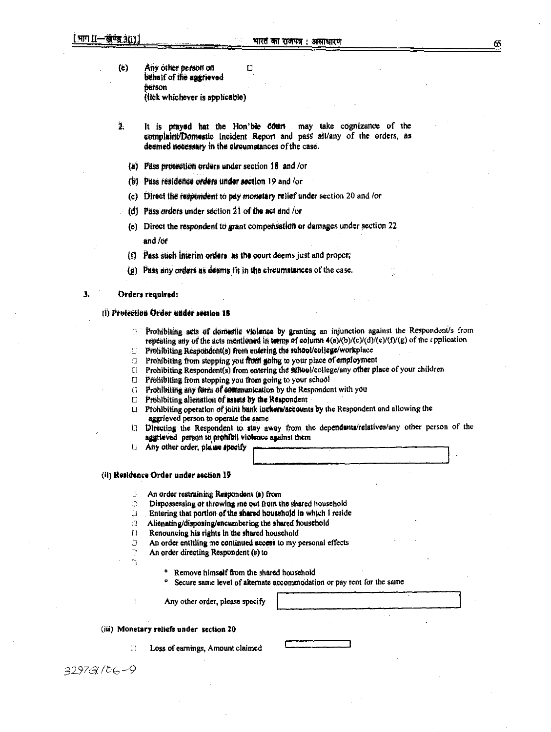- **(e) Any other peewit on**   $\Box$ **behalf of the aggrieved person (tlek whichever is applicable)**
- $\overline{2}$ It is prayed hat the Hon'ble **Court** may take cognizance of the eotriplaint/Domestic incident Report and pass all/any of the orders, as **deemed necessary in the circumstances of the case.** 
	- (a) Pass protection orders under section 18 and /or
	- (t) Pest **reilidelide orders** wider **motion 19 and for**
	- **(e)** Direct the respondent to pay monetary relief under section 20 and /or
	- **(d) Pass orders under section 21 of the act and /or**
	- (e) Direct the respondent to grant compensation or damages under section 22 and /of
	- **(f) Pass such Interim Orders as the court deems just and proper;**
	- **(g) Pass any** *mhos as clowns tit* **in the circumstances of the** *case.*

#### **3. Orders required:**

### **krotettlos bider tattier tauten** 18

- $E$ . Prohibiting atts of domestic violence by granting an injunction against the Respondent's from repeating any of the acts mentioned in terms of column  $4(a)/(b)/(c)/(d)/(e)/(f)/(g)$  of the application
- Prohibiting Respondent(s) from entering the school/college/workplace C.
- Prohibiting from stopping you from going to your place of employment  $f^{\prime\prime}$
- **rl Prohibiting Respondent(s) from entering the SOBUOVeollege/any other place of your children**
- *Prohibiting from stopping you from going to your school*
- **Prohibiting any form of communication by the Respondent with you <br>
<b>D** Prohibiting allenation of assets by the Respondent
- Prohibiting alienation of assets by the Respondent
- Li **Prohibiting operation of jOirit batik lockets/accounts by the Respondent and allowing the aggrieved person.to operate the same**
- Li **Directing the Respondent to slay away from the dependents/relatives/any other person of the aggrieVed person to prohibit violence against them**
- **1: Any other order, please specify**

#### **(ii) Residence Order under section 19**

- **An order restraining Respondent (s) from**   $\Box$
- $\mathbb{C}^\infty$ **Dispossessing or throwing ma out from the shared household**
- $\mathbb{C}^*$ **Entering that portion of the shared household in which I reside**
- **i:1 Alienating/disposing/encumbering the shared household**
- 
- **O Renouncing his rights In the shared household An order entitling me continued access to my personal effects**
- $\Omega$ **An order directing Respondent (a) to**
- $\overline{\mathbb{C}}$
- **o Remove himself from the shared household**
- Secure same level of alternate accommodation or pay rent for the same

 $\mathbb{C}$ 

**Any other order, please specify** 

#### **(iii) Monetary reliefs under section 20**

**Loss of earnings, Amount claimed** 

*32976(* ./b —9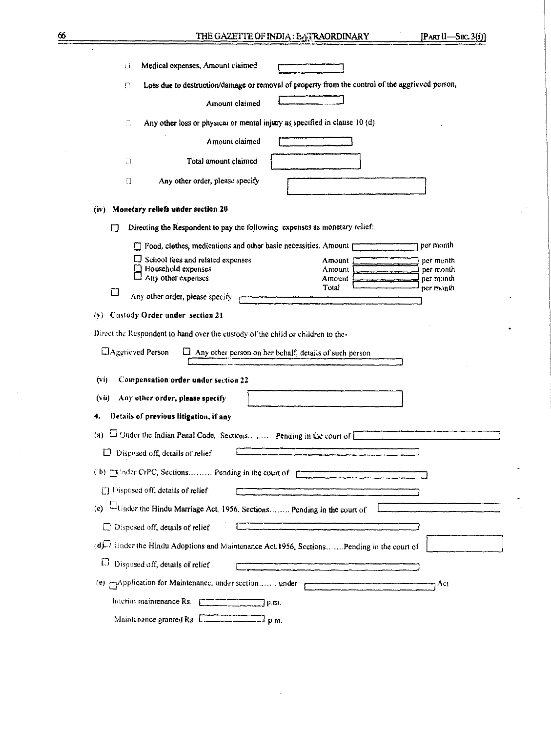| Medical expenses, Amount claimed<br>O                                                                       |
|-------------------------------------------------------------------------------------------------------------|
| Loss due to destruction/damage or removal of property from the control of the aggrieved person,<br>n        |
| Amount claimed                                                                                              |
| Any other loss or physical or mental injury as specified in clause 10 (d)<br>Ø.                             |
| Amount claimed                                                                                              |
| Total amount claimed<br>3                                                                                   |
| Any other order, please specify<br>IJ.                                                                      |
| Monetary reliefs under section 20<br>(iv)                                                                   |
| Directing the Respondent to pay the following expenses as monetary relief:<br>П                             |
| per month<br>Food, clothes, medications and other basic necessities, Amount                                 |
| $\Box$ School fees and related expenses<br>per month<br>Amount<br>Household expenses<br>Amount<br>per month |
| Any other expenses<br>Amount<br>per month                                                                   |
| Total<br>per month<br>□<br>Any other order, please specify                                                  |
| (v) Custody Order under section 21                                                                          |
|                                                                                                             |
| Direct the Respondent to hand over the custody of the child or children to the-                             |
| $\Box$ Aggrieved Person<br>$\Box$ Any other person on her behalf, details of such person                    |
| Compensation order under section 22<br>(v)                                                                  |
| Any other order, please specify<br>(vii)                                                                    |
| Details of previous litigation, if any<br>4,                                                                |
| $\square$ Under the Indian Penal Code, Sections Pending in the court of $\square$<br>(a)                    |
| $\Box$ Disposed off, details of relief                                                                      |
| (b) [Childer CrPC, Sections Pending in the court of                                                         |
| $\Box$ Disposed off, details of relief                                                                      |
| Under the Hindu Marriage Act. 1956, Sections Pending in the court of<br>$\left( \mathbf{c} \right)$         |
|                                                                                                             |
| $\Box$ Disposed off, details of relief                                                                      |
| (d) Under the Hindu Adoptions and Maintenance Act, 1956, Sections Pending in the court of                   |
| П<br>Disposed off, details of relief                                                                        |
| (e) mapplication for Maintenance, under section under<br>1 Act                                              |
| Interim maintenance Rs. $\Box$<br>$\sqrt{p_m}$                                                              |
| Maintenance granted Rs. [The contract of p.m.                                                               |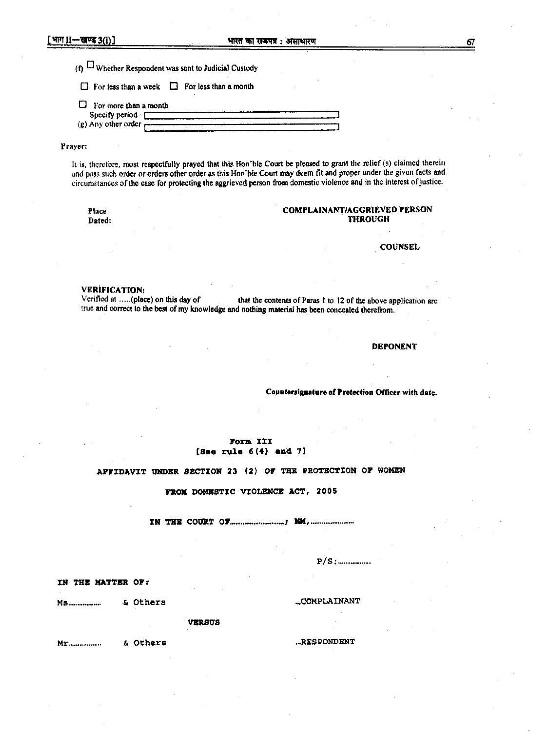**(f) ° Whether Respondent was sent to Judicial Custody** 

**0 For less than a week 0 For less than a month** 

**El For more than a month**  Specify period [  $(g)$  Any other order  $\overline{r}$ 

#### **prayer;**

**It is, therefore, most respectfully prayed that this Hon'ble Court be pleased to grant the relief (s) claimed therein and pass such order or orders other order as this Hor'ble Court may deem fit and proper under the given facts and circumstances of the case for protecting the aggrieved person from domestic violence and in the interest of justice.** 

### Place **COMPLAINANT/AGGRIEVED PERSON**<br>Dated: THROUGH **Dated: THROUGH**

**COUNSEL** 

**VERIFICATION:**<br>Verified at .....(place) on this day of that the contents of Paras 1 to 12 of the above application are **true and correct to the best of my knowledge and nothing material has been concealed therefrom.** 

**DEPONENT** 

**Countersignature of Protection Officer with date.** 

#### **Form III (Sen rule 6 (4 ) and 7]**

### **AFFIDAVIT UNDER SECTION 23 (2) OF THE PROTECTION OF WOMEN**

**FROM DOMESTIC VIOLENCE ACT, 2005** 

**IN THE COURT OF 144,** 

**P/S: ..........** 

**IN THE MATTER OFr** 

**Ms & Others ,COMPLAINANT** 

**VERSUS** 

**Mr & Others ...RESPONDENT** 

67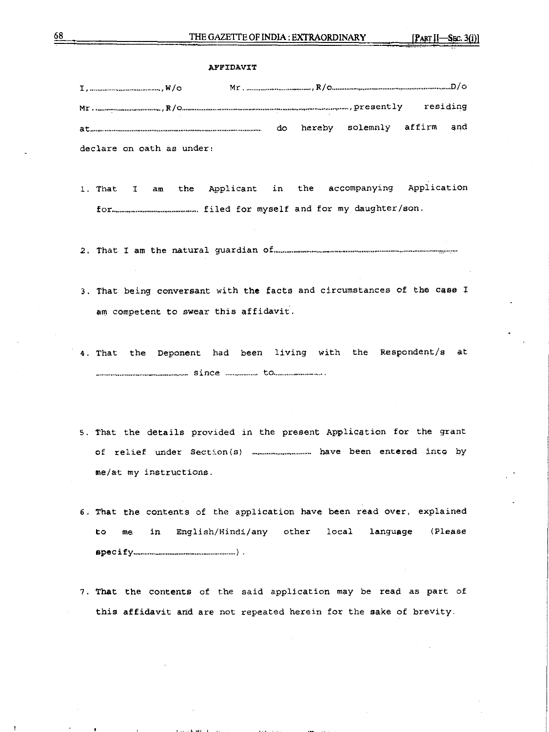#### **AFFIDAVIT**

|                            |  |                               | residing |
|----------------------------|--|-------------------------------|----------|
| $\mathtt{at}_{\mathit{m}}$ |  | do hereby solemnly affirm and |          |
| declare on oath as under:  |  |                               |          |

1. That I am the Applicant in the accompanying Application for ......... filed for myself and for my daughter/son.

2. That T am the natural guardian of-- —

- 3. That being conversant with the facts and circumstances of the case I am competent to swear this affidavit.
- 4. That the Deponent had been living with the Respondent/s at since . to
- 5. That the details provided in the present Application for the grant of relief under Section(s) .............................. have been entered into by me/at my instructions.
- 6. That the contents of the application have been read over, explained to me in English/Hindi/any other local language (Please specify ).
- 7. That the contents of the said application may be read as part of this affidavit and are not repeated herein for the sake of brevity.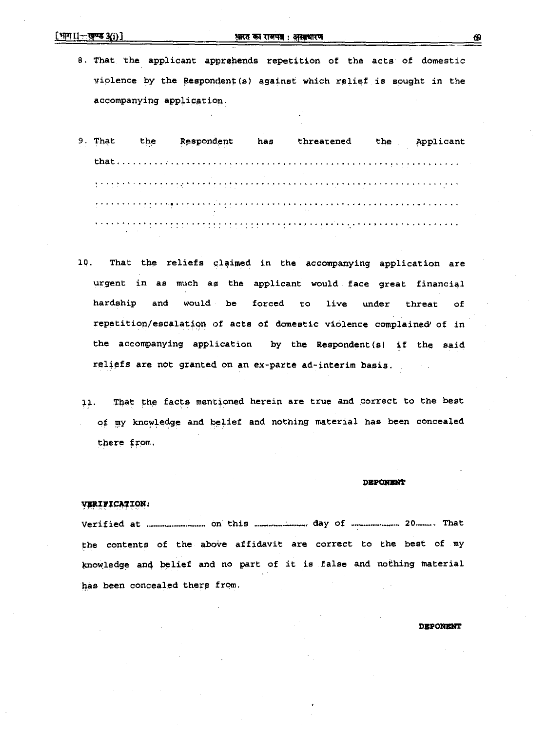### $\frac{1}{2}$ ीगा II—खण्ड  $3(i)$ ] अक्षर का राजपत्र : असाधारण

**8. That the applicant apprehends repetition of the acts of domestic violence by the Respondent (s} against which reli**e**f is sought in the accompanying application.** 

**9. That the Respondent has threatened the . Applicant that**  

- **18. That the reliefs claimed in the accompanying application are urgent in as much as the applicant would face great financial hardship and would be forced to live under threat of repetition/escalation of acts of domestic violence complained' of in**  the accompanying application by the Respondent(s) if the said **reliefs are not granted on an ex-parte ad-interim basis.**
- 11. That the facts mentioned herein are true and correct to the best o**f my kno**w**ledge and belief and nothing material has been concealed there from.**

### **DEPONXNT**

#### **VERIFICATION:**

**Verified at .... on this day of .... 20- That**  the contents of the above affidavit are correct to the best of my **knowledge and belief and no part of it is false and nothing material has been concealed there from.** 

**DEPONENT**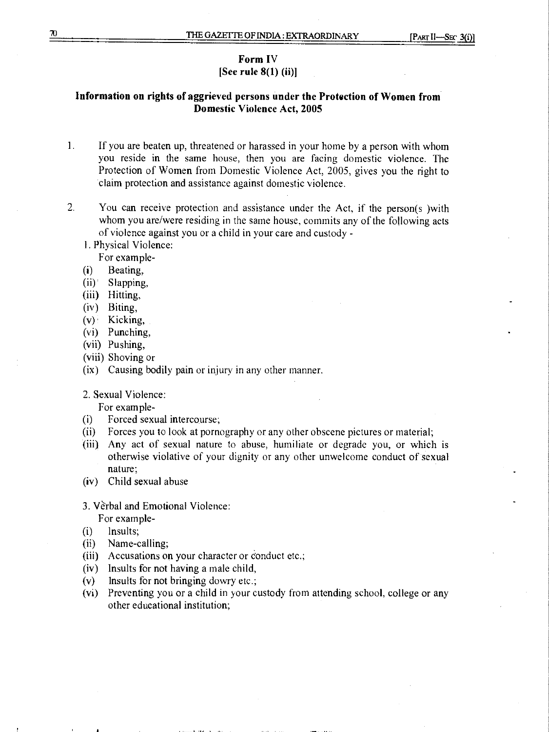### **Form IV [See rule 8(1) (ii)]**

# **Information on rights of aggrieved persons under the Protection of Women from Domestic Violence Act, 2005**

- **1.** If you are beaten up, threatened or harassed in your home by a person with whom you reside in the same house, then you are facing domestic violence. The Protection of Women from Domestic Violence Act, 2005, gives you the right to claim protection and assistance against domestic violence.
- 2. You can receive protection and assistance under the Act, if the person(s }with whom you are/were residing in the same house, commits any of the following acts of violence against you or a child in your care and custody
	- l. Physical Violence:
		- For example-
	- (i) Beating,
	- (ii)' Slapping,
	- (iii) Hitting,
	- (iv) Biting,
	- $(v)$  Kicking,
	- (vi) Punching,
	- (vii) Pushing,
	- (viii) Shoving or
	- (ix) Causing bodily pain or injury in any other manner.
	- 2. Sexual Violence:

For example-

- (i) Forced sexual intercourse;
- (ii) Forces you to look at pornography or any other obscene pictures or material;
- (iii) Any act of sexual nature to abuse, humiliate or degrade you, or which is otherwise violative of your dignity or any other unwelcome conduct of sexual nature;
- (iv) Child sexual abuse
- 3. Verbal and Emotional Violence:

For example-

- (i) Insults;
- (ii) Name-calling;
- (iii) Accusations on your character or Conduct etc.;
- (iv) Insults for not having a male child,
- $(v)$  lnsults for not bringing dowry etc.;
- (vi) Preventing you or a child in your custody from attending school, college or any other educational institution;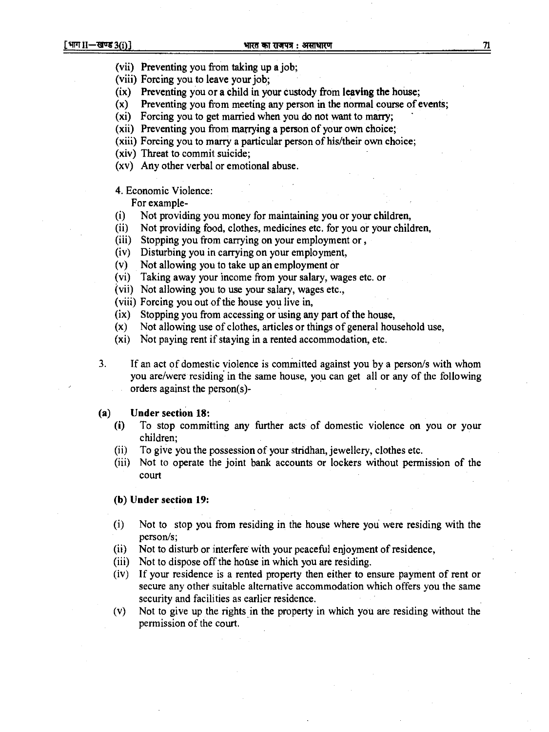- **(vii) Preventing you from taking up a job;**
- **(viii) Forcing you to leave your job;**
- **(ix) Preventing you or a child in your custody from leaving the house;**
- **(x) Preventing you from meeting any person in the normal course of events;**
- **(xi) Forcing you to get married when you do not want to marry;**
- (xii) Preventing you from marrying a person of your own choice;
- **(xiii) Forcing you to marry a particular person of his/their own choice;**
- **(xiv) Threat to commit suicide;**
- **(xv) Any other verbal or emotional abuse.**

### **4. Economic Violence:**

**For example-** 

- **(i) Not providing you money for maintaining you or your children,**
- **(ii) Not providing food, clothes, medicines etc. for you or your children,**
- **(iii) Stopping you from carrying on your employment or ,**
- **(iv) Disturbing you in carrying on your employment,**
- **(v) Not allowing you to take up an employment or**
- **(vi) Taking away your income from your salary, wages etc. or**
- **(vii) Not allowing you to use your salary, wages etc.,**
- **(viii) Forcing you out of the house you live in,**
- **(ix) Stopping you from accessing or using any part of the house,**
- **(x) Not allowing use of clothes, articles or things of general household use,**
- **(xi) Not paying rent if staying in a rented accommodation, etc.**
- **3. If an act of domestic violence is committed against you by a person/s with whom you are/were residing in the same house, you can get all or any of the following orders against the person(s)-**

### **(a) Under section 18:**

- **(i) To stop committing any further acts- of domestic violence on you or your children;**
- **(ii) To give ybu the possession of your stridhan, jewellery, clothes etc.**
- **(iii) Not to operate the joint bank accounts or lockers without permission of the court**

### **(b) Under section 19:**

- **(i) Not to stop you from residing in the house where you were residing with the person/s;**
- **(ii) Not to disturb or interfere with your peaceful enjoyment of residence,**
- **(iii) Not to dispose off the house in which you are residing.**
- **(iv) If your residence is a rented property then either to ensure payment of rent or secure any other suitable alternative accommodation which offers you the same security and facilities as earlier residence.**
- **(v) Not to give up the rights in the property in which you are residing without the permission of the court.**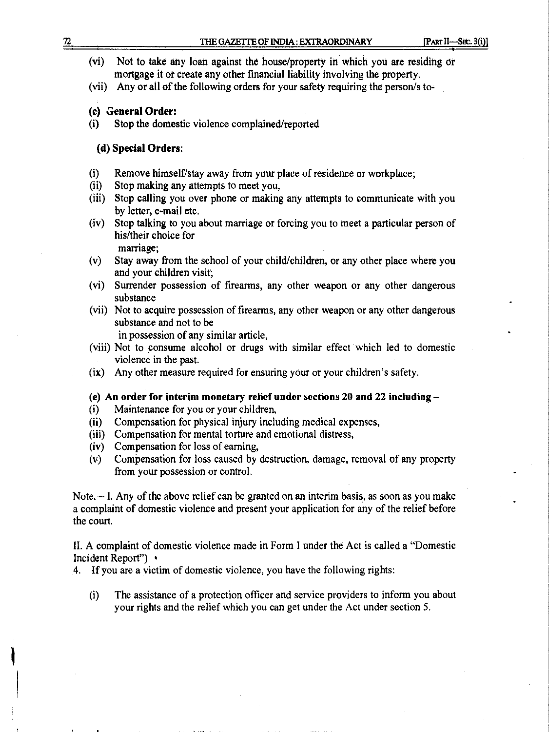|                                                                                                                                                                     | THE GAZETTE OF INDIA : EXTRAORDINARY                                                                                                                     | [Part II---Sec. 3(i)] |  |  |  |  |  |
|---------------------------------------------------------------------------------------------------------------------------------------------------------------------|----------------------------------------------------------------------------------------------------------------------------------------------------------|-----------------------|--|--|--|--|--|
| (vi)<br>Not to take any loan against the house/property in which you are residing or<br>mortgage it or create any other financial liability involving the property. |                                                                                                                                                          |                       |  |  |  |  |  |
| (vii)                                                                                                                                                               | Any or all of the following orders for your safety requiring the person/s to-                                                                            |                       |  |  |  |  |  |
|                                                                                                                                                                     | (c) General Order:                                                                                                                                       |                       |  |  |  |  |  |
| (i)                                                                                                                                                                 | Stop the domestic violence complained/reported                                                                                                           |                       |  |  |  |  |  |
|                                                                                                                                                                     | (d) Special Orders:                                                                                                                                      |                       |  |  |  |  |  |
| (i)                                                                                                                                                                 | Remove himself/stay away from your place of residence or workplace;                                                                                      |                       |  |  |  |  |  |
| (ii)                                                                                                                                                                | Stop making any attempts to meet you,                                                                                                                    |                       |  |  |  |  |  |
| (iii)                                                                                                                                                               | Stop calling you over phone or making any attempts to communicate with you<br>by letter, e-mail etc.                                                     |                       |  |  |  |  |  |
| (iv)                                                                                                                                                                | Stop talking to you about marriage or forcing you to meet a particular person of<br>his/their choice for<br>marriage;                                    |                       |  |  |  |  |  |
| (v)                                                                                                                                                                 | Stay away from the school of your child/children, or any other place where you<br>and your children visit;                                               |                       |  |  |  |  |  |
| (vi)                                                                                                                                                                | Surrender possession of firearms, any other weapon or any other dangerous<br>substance                                                                   |                       |  |  |  |  |  |
|                                                                                                                                                                     | (vii) Not to acquire possession of firearms, any other weapon or any other dangerous<br>substance and not to be<br>in possession of any similar article, |                       |  |  |  |  |  |
|                                                                                                                                                                     | (viii) Not to consume alcohol or drugs with similar effect which led to domestic<br>violence in the past.                                                |                       |  |  |  |  |  |
| (ix)                                                                                                                                                                | Any other measure required for ensuring your or your children's safety.                                                                                  |                       |  |  |  |  |  |

**THE GAZETTE OF INDIA: EXTRAORDINARY [PART II-SEC. 3(i)]** 

- (i) Maintenance for you or your children,
- (ii) Compensation for physical injury including medical expenses,
- (iii) Compensation for mental torture and emotional distress,
- (iv) Compensation for loss of earning,
- (v) Compensation for loss caused by destruction, damage, removal of any property from your possession or control.

Note. – I. Any of the above relief can be granted on an interim basis, as soon as you make a complaint of domestic violence and present your application for any of the relief before the court.

II. A complaint of domestic violence made in Form I under the Act is called a "Domestic Incident Report")

4. **If** you are a victim of domestic violence, you have the following rights:

(i) The assistance of a protection officer and service providers to inform you about your rights and the relief which you can get under the Act under section 5.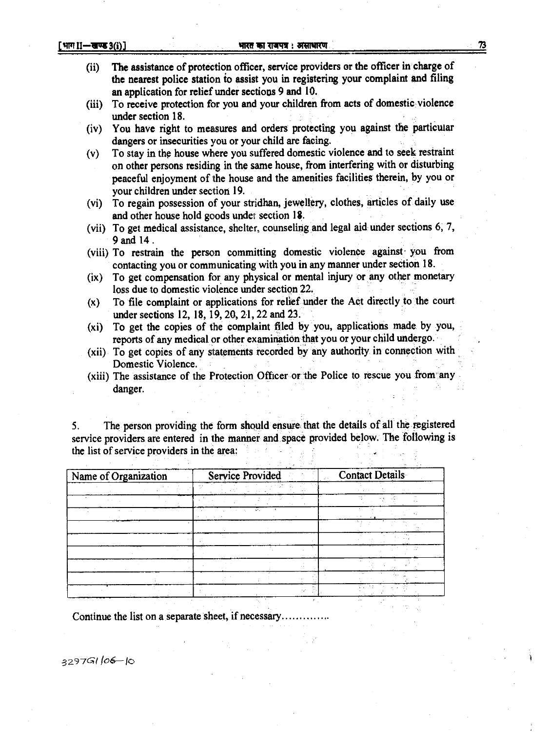- 73
- **(ii) The assistance of protection officer, service providers or the officer in charge of the nearest police station to assist you in registering your complaint and filing an application for relief under sections 9 and 10.**
- **(iii) To receive protection for you and your children from acts of domestic violence under section 18.**
- **(iv) You have right to measures and orders protecting you against the particular dangers or insecurities you or your child are facing.**
- **(v) To stay in the house where you suffered domestic violence and to seek restraint on other persons residing in the same house, from interfering with or disturbing peaceful enjoyment of the house and the amenities facilities therein, by you or your children under section 19.**
- **(vi) To regain possession of your stridhan, jewellery, clothes, articles of daily use and other house hold goods under section 18.**
- **(vii) To get medical assistance, shelter, counseling and legal aid under sections 6, 7, 9 and 14 .**
- **(viii) To restrain the person committing domestic violence against you from contacting you or communicating with you in any manner under section 18.**
- **(ix) To get compensation for, any physical or mental injury or any other monetary loss due to domestic violence under section 22.**
- **(x) To file complaint or applications for relief under the Act directly to the court**  under sections 12, 18, 19, 20, 21, 22 and 23.
- **(xi) To get the copies of the complaint filed by you, applications made by you, reports of any medical or other examination that you or your child undergo.**
- **(xii) To get copies of any statements recorded by any authority in connection with Domestic Violence.**
- **(xiii) The assistance of the Protection Officer or the Police to rescue you from any danger.**

**5. The person providing the form should ensure that the details of all the registered service providers are entered in the manner and space provided below. The following is the list of service providers in the area** 

| Name of Organization | <b>Service Provided</b> | <b>Contact Details</b> |  |
|----------------------|-------------------------|------------------------|--|
|                      |                         |                        |  |
|                      |                         |                        |  |
|                      |                         |                        |  |
|                      |                         |                        |  |
|                      |                         |                        |  |
|                      |                         |                        |  |
|                      |                         |                        |  |
|                      |                         |                        |  |
|                      |                         |                        |  |
|                      |                         |                        |  |

**Continue the list on a separate sheet, if necessary** 

**3 9** 7G1 *.06— to*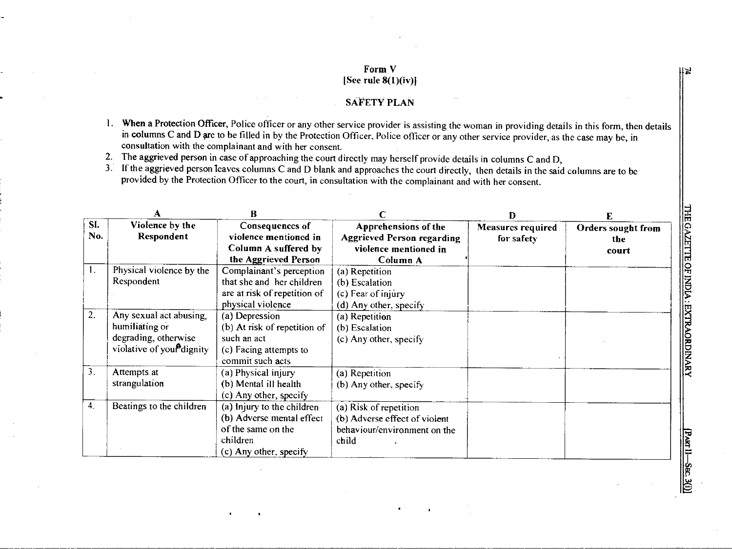### **Form V [See rule 8(1)(iv)I**

### **SAFETY PLAN**

- **1. When a Protection** Officer, Police officer or any other service provider is assisting the woman in providing details in this form, then details in columns C and D ore to be filled in by the Protection Officer, Police officer or any other service provider, as the case may be, in consultation with the complainant and with her consent.
- 2. The aggrieved person in case of approaching the court directly may herself provide details in columns C and D,

3. If the aggrieved person leaves columns C and D blank and approaches the court directly, then details in the said columns are to be provided by the Protection Officer to the court, in consultation with the complainant and with her consent.

|                  | А                                      | R                            |                                   | $\mathbf{D}$             | E                         |
|------------------|----------------------------------------|------------------------------|-----------------------------------|--------------------------|---------------------------|
| SI.              | Violence by the                        | Consequences of              | Apprehensions of the              | <b>Measures required</b> | <b>Orders sought from</b> |
| No.              | Respondent                             | violence mentioned in        | <b>Aggrieved Person regarding</b> | for safety               | the                       |
|                  |                                        | Column A suffered by         | violence mentioned in             |                          | court                     |
|                  |                                        | the Aggrieved Person         | Column A                          |                          |                           |
| 1.               | Physical violence by the               | Complainant's perception     | (a) Repetition                    |                          |                           |
|                  | Respondent                             | that she and her children    | (b) Escalation                    |                          |                           |
|                  |                                        | are at risk of repetition of | (c) Fear of injury                |                          |                           |
|                  |                                        | physical violence            | (d) Any other, specify            |                          |                           |
| 2.               | Any sexual act abusing,                | (a) Depression               | (a) Repetition                    |                          |                           |
|                  | humiliating or                         | (b) At risk of repetition of | (b) Escalation                    |                          |                           |
|                  | degrading, otherwise                   | such an act                  | (c) Any other, specify            |                          |                           |
|                  | violative of your <sup>9</sup> dignity | (c) Facing attempts to       |                                   |                          |                           |
|                  |                                        | commit such acts             |                                   |                          |                           |
| 3.               | Attempts at                            | (a) Physical injury          | (a) Repetition                    |                          |                           |
|                  | strangulation                          | (b) Mental ill health        | $(b)$ Any other, specify          |                          |                           |
|                  |                                        | (c) Any other, specify       |                                   |                          |                           |
| $\overline{4}$ . | Beatings to the children               | (a) Injury to the children   | (a) Risk of repetition            |                          |                           |
|                  |                                        | (b) Adverse mental effect    | (b) Adverse effect of violent     |                          |                           |
|                  |                                        | of the same on the           | behaviour/environment on the      |                          |                           |
|                  |                                        | children                     | child                             |                          |                           |
|                  |                                        | (c) Any other, specify       |                                   |                          |                           |

**THE GAZETTE OF INDIA: EXTRAORDINARY** 

闫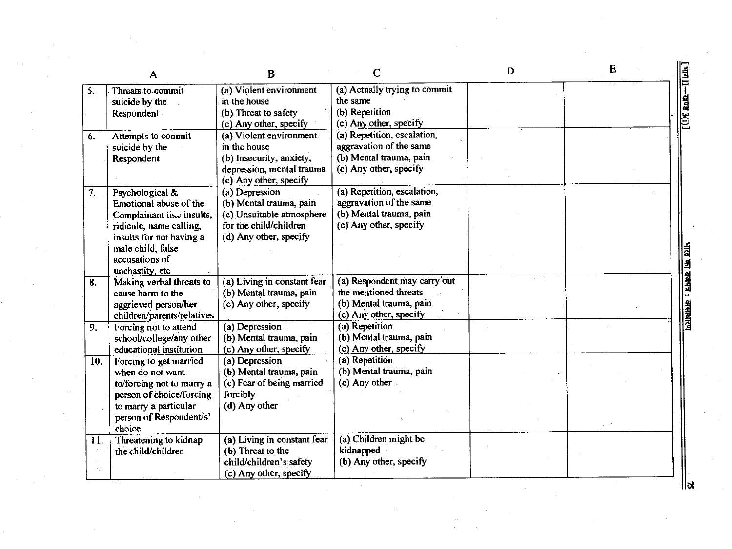|     | A                          | $\mathbf B$                 | С                             | D | Е |                      |
|-----|----------------------------|-----------------------------|-------------------------------|---|---|----------------------|
| 5.  | Threats to commit          | (a) Violent environment     | (a) Actually trying to commit |   |   |                      |
|     | suicide by the .           | in the house                | the same                      |   |   | $\frac{1}{2}$        |
|     | Respondent                 | (b) Threat to safety        | (b) Repetition                |   |   |                      |
|     |                            | (c) Any other, specify      | (c) Any other, specify        |   |   |                      |
| 6.  | Attempts to commit         | (a) Violent environment     | (a) Repetition, escalation,   |   |   |                      |
|     | suicide by the             | in the house                | aggravation of the same       |   |   |                      |
|     | Respondent                 | (b) Insecurity, anxiety,    | (b) Mental trauma, pain       |   |   |                      |
|     |                            | depression, mental trauma   | (c) Any other, specify        |   |   |                      |
|     |                            | (c) Any other, specify      |                               |   |   |                      |
| 7.  | Psychological &            | (a) Depression              | (a) Repetition, escalation,   |   |   |                      |
|     | Emotional abuse of the     | (b) Mental trauma, pain     | aggravation of the same       |   |   |                      |
|     | Complainant lise insults,  | (c) Unsuitable atmosphere   | (b) Mental trauma, pain       |   |   |                      |
|     | ridicule, name calling,    | for the child/children      | (c) Any other, specify        |   |   |                      |
|     | insults for not having a   | (d) Any other, specify      |                               |   |   |                      |
|     | male child, false          |                             |                               |   |   |                      |
|     | accusations of             |                             |                               |   |   |                      |
|     | unchastity, etc            |                             |                               |   |   |                      |
| 8.  | Making verbal threats to   | (a) Living in constant fear | (a) Respondent may carry out  |   |   |                      |
|     | cause harm to the          | (b) Mental trauma, pain     | the mentioned threats         |   |   |                      |
|     | aggrieved person/her       | (c) Any other, specify      | (b) Mental trauma, pain       |   |   | का राजपत्र : असाथारण |
|     | children/parents/relatives |                             | (c) Any other, specify        |   |   |                      |
| 9.  | Forcing not to attend      | (a) Depression              | (a) Repetition                |   |   |                      |
|     | school/college/any other   | (b) Mental trauma, pain     | (b) Mental trauma, pain       |   |   |                      |
|     | educational institution    | (c) Any other, specify      | (c) Any other, specify        |   |   |                      |
| 10. | Forcing to get married     | (a) Depression              | (a) Repetition                |   |   |                      |
|     | when do not want           | (b) Mental trauma, pain     | (b) Mental trauma, pain       |   |   |                      |
|     | to/forcing not to marry a  | (c) Fear of being married   | (c) Any other                 |   |   |                      |
|     | person of choice/forcing   | forcibly                    |                               |   |   |                      |
|     | to marry a particular      | (d) Any other               |                               |   |   |                      |
|     | person of Respondent/s'    |                             |                               |   |   |                      |
|     | choice                     |                             |                               |   |   |                      |
| 11. | Threatening to kidnap      | (a) Living in constant fear | (a) Children might be         |   |   |                      |
|     | the child/children         | (b) Threat to the           | kidnapped                     |   |   |                      |
|     |                            | child/children's safety     | (b) Any other, specify        |   |   |                      |
|     |                            | (c) Any other, specify      |                               |   |   |                      |

 $\label{eq:2.1} \mathcal{L}(\mathcal{L}^{\text{max}}_{\mathcal{L}}(\mathcal{L}^{\text{max}}_{\mathcal{L}})) \leq \mathcal{L}(\mathcal{L}^{\text{max}}_{\mathcal{L}}(\mathcal{L}^{\text{max}}_{\mathcal{L}}))$ 

 $\alpha$  ,  $\alpha$  ,  $\alpha$  ,  $\alpha$ 

 $\mathcal{F}(\mathcal{A})$ 

 $\sim$ 

 $\mathbb{R}$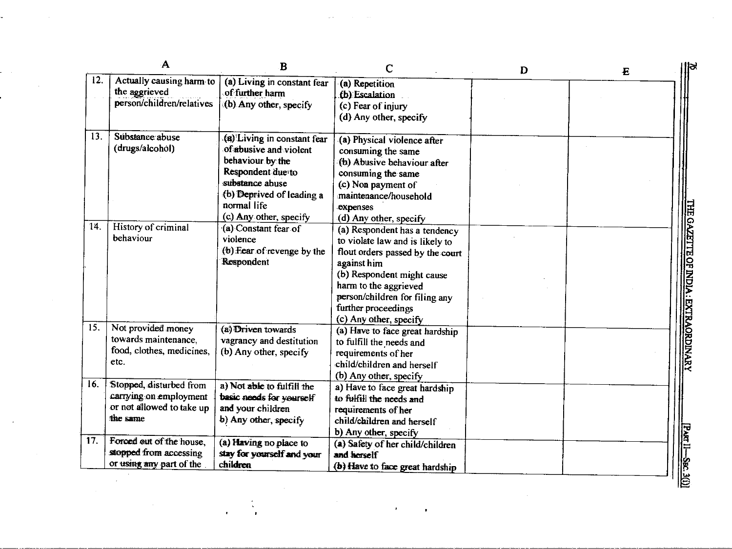|     | Α                                                                                          | B                                                                                                                 | С                                                                                                                                                                          | D | $\bf{E}$ |
|-----|--------------------------------------------------------------------------------------------|-------------------------------------------------------------------------------------------------------------------|----------------------------------------------------------------------------------------------------------------------------------------------------------------------------|---|----------|
| 12. | Actually causing harm to<br>the aggrieved<br>person/children/relatives                     | (a) Living in constant fear<br>of further harm<br>(b) Any other, specify                                          | (a) Repetition<br>(b) Escalation<br>(c) Fear of injury                                                                                                                     |   |          |
|     |                                                                                            |                                                                                                                   | (d) Any other, specify                                                                                                                                                     |   |          |
| 13. | Substance abuse<br>(drugs/alcohol)                                                         | (a) Living in constant fear<br>of abusive and violent<br>behaviour by the<br>Respondent due to<br>substance abuse | (a) Physical violence after<br>consuming the same<br>(b) Abusive behaviour after<br>consuming the same<br>(c) Non payment of                                               |   |          |
|     |                                                                                            | (b) Deprived of leading a<br>normal life<br>(c) Any other, specify                                                | maintenance/household<br>expenses<br>(d) Any other, specify                                                                                                                |   |          |
| 14. | History of criminal<br>behaviour                                                           | (a) Constant fear of<br>violence<br>(b) Fear of revenge by the<br>Respondent                                      | (a) Respondent has a tendency<br>to violate law and is likely to<br>flout orders passed by the court<br>against him<br>(b) Respondent might cause<br>harm to the aggrieved |   |          |
|     |                                                                                            |                                                                                                                   | person/children for filing any<br>further proceedings<br>(c) Any other, specify                                                                                            |   |          |
| 15. | Not provided money<br>towards maintenance,<br>food, clothes, medicines,<br>etc.            | (a) Driven towards<br>vagrancy and destitution<br>(b) Any other, specify                                          | (a) Have to face great hardship<br>to fulfill the needs and<br>requirements of her<br>child/children and herself<br>(b) Any other, specify                                 |   |          |
| 16. | Stopped, disturbed from<br>carrying on employment<br>or not allowed to take up<br>the same | a) Not able to fulfill the<br>basic needs for yourself<br>and your children<br>b) Any other, specify              | a) Have to face great hardship<br>to fulfill the needs and<br>requirements of her<br>child/children and herself<br>b) Any other, specify                                   |   |          |
| 17. | Forced out of the house.<br>stopped from accessing<br>or using any part of the             | (a) Having no place to<br>stay for yourself and your<br>children                                                  | (a) Safety of her child/children<br>and horself<br>(b) Have to face great hardship                                                                                         |   |          |

 $\sim$ 

÷,

 $\mathbb{R}^2$ 

 $\sim 10^7$ 

 $\mathcal{L}_{\text{max}}$  and  $\mathcal{L}_{\text{max}}$ 

 $\mathcal{L}^{\text{max}}_{\text{max}}$ 

 $\mathcal{L}^{\text{max}}_{\text{max}}$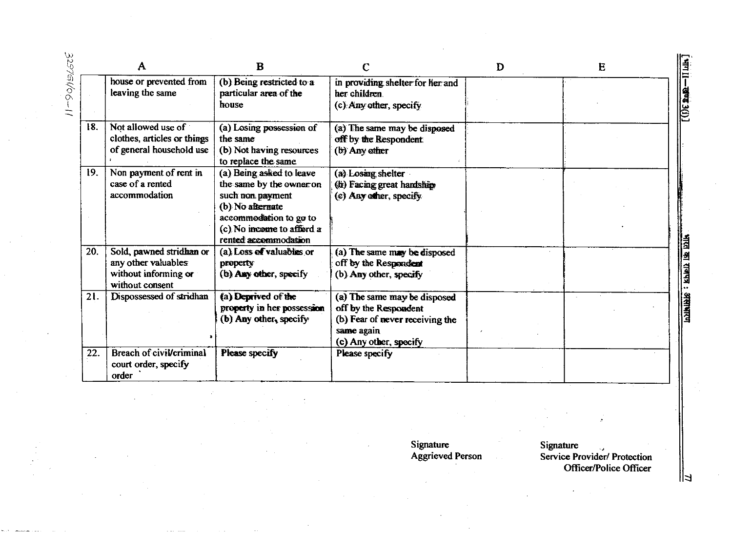|     | A                                                                                          | B                                                                                                                                                                           |                                                                                                                                  | D | E |
|-----|--------------------------------------------------------------------------------------------|-----------------------------------------------------------------------------------------------------------------------------------------------------------------------------|----------------------------------------------------------------------------------------------------------------------------------|---|---|
|     | house or prevented from<br>leaving the same                                                | (b) Being restricted to a<br>particular area of the<br>house                                                                                                                | in providing shelter for her and<br>her children<br>(c) Any other, specify                                                       |   |   |
| 18. | Not allowed use of<br>clothes, articles or things<br>of general household use              | (a) Losing possession of<br>the same<br>(b) Not having resources<br>to replace the same                                                                                     | (a) The same may be disposed<br>off by the Respondent<br>(b) Any other                                                           |   |   |
| 19. | Non payment of rent in<br>case of a rented<br>accommodation                                | (a) Being asked to leave<br>the same by the owner on<br>such non payment<br>(b) No alternate<br>accommodation to go to<br>(c) No income to afford a<br>rented accommodation | (a) Losing shelter<br>(b) Facing great hardship.<br>(c) Any other, specify                                                       |   |   |
| 20. | Sold, pawned stridhan or<br>any other valuables<br>without informing or<br>without consent | (a) Loss of valuables or<br>property<br>(b) Any other, specify                                                                                                              | (a) The same may be disposed<br>off by the Respondent<br>(b) Any other, specify                                                  |   |   |
| 21. | Dispossessed of stridhan                                                                   | (a) Deprived of the<br>property in her possession<br>(b) Any other, specify                                                                                                 | (a) The same may be disposed<br>off by the Respondent<br>(b) Fear of never receiving the<br>same again<br>(c) Any other, specify |   |   |
| 22. | Breach of civil/criminal<br>court order, specify<br>order                                  | Please specify                                                                                                                                                              | Please specify                                                                                                                   |   |   |

**Signature Aggrieved Person** 

**Signature Service Provider/ Protection Officer/Police Officer** 

 $\mathbb{Z}$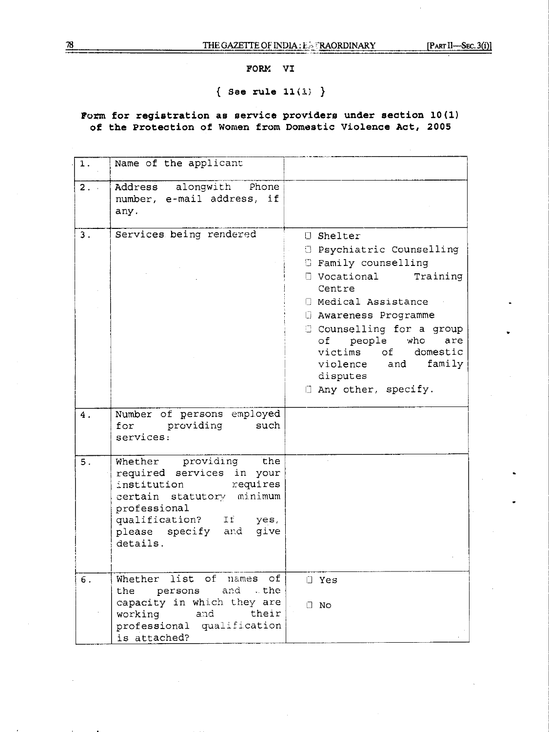## **FORM VI**

# **{ See rule 11(1; )**

# **Form for registration as service providers under section 10(1) of the Protection of Women from Domestic Violence Act, 2005**

| 1.      | Name of the applicant                                                                                                                                                                          |                                                                                                                                                                                                                                                                                                                                         |
|---------|------------------------------------------------------------------------------------------------------------------------------------------------------------------------------------------------|-----------------------------------------------------------------------------------------------------------------------------------------------------------------------------------------------------------------------------------------------------------------------------------------------------------------------------------------|
| $2 - 1$ | Address alongwith Phone<br>number, e-mail address, if<br>any.                                                                                                                                  |                                                                                                                                                                                                                                                                                                                                         |
| 3.      | Services being rendered                                                                                                                                                                        | <b>J</b> Shelter<br><b>3 Psychiatric Counselling</b><br><b>E</b> Family counselling<br>$\Box$ Vocational<br>Training<br>Centre<br>□ Medical Assistance<br><b>B</b> Awareness Programme<br>Counselling for a group<br>of people who<br>are<br>victims of domestic<br>family<br>violence<br>and<br>disputes<br>$\Box$ Any other, specify. |
| 4.      | Number of persons employed<br>for providing<br>such<br>services:                                                                                                                               |                                                                                                                                                                                                                                                                                                                                         |
| 5.      | Whether providing the<br>required services in your<br>institution<br>requires<br>certain statutory minimum<br>professional<br>qualification? If yes,<br>please specify and<br>give<br>details. |                                                                                                                                                                                                                                                                                                                                         |
| $\,6$ . | Whether list of names of<br>persons<br>and the<br>the<br>capacity in which they are<br>their<br>working<br>and<br>professional qualification<br>is attached?                                   | $\Box$ Yes<br>$\Box$ No                                                                                                                                                                                                                                                                                                                 |

'78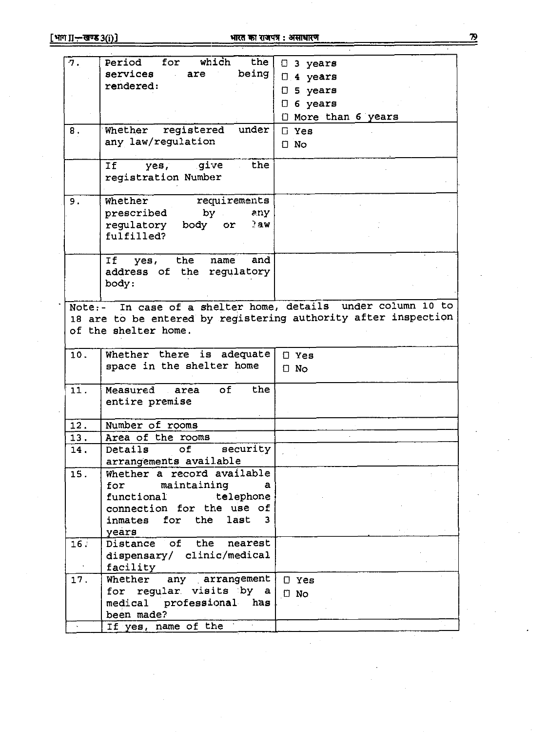# <u>[भाग II-स्वण्ड 3(i)]</u> **at Late 20 and 20 and 20 and 20 and 31 and 31 and 32 and 32 and 32 and 32 and 32 and 32 and 32 and 32 and 32 and 32 and 32 and 32 and 32 and 32 and 32 and 32 and 32 and 32 and 32 and 32 and 32 and**

| which<br>the<br>for<br>Period<br>7.<br>$\Box$ 3 years<br>being<br>services<br>are<br>$\Box$ 4 years<br>rendered:<br>5 years<br>O<br>$\Box$ 6 years<br>I More than 6 years<br>under<br>registered<br>Whether<br>${\bf 8}$ .<br>$\Box$ Yes<br>any law/regulation<br>$\Box$ No<br>give<br>the<br>Ιf<br>yes,<br>registration Number |  |
|---------------------------------------------------------------------------------------------------------------------------------------------------------------------------------------------------------------------------------------------------------------------------------------------------------------------------------|--|
|                                                                                                                                                                                                                                                                                                                                 |  |
|                                                                                                                                                                                                                                                                                                                                 |  |
|                                                                                                                                                                                                                                                                                                                                 |  |
|                                                                                                                                                                                                                                                                                                                                 |  |
|                                                                                                                                                                                                                                                                                                                                 |  |
|                                                                                                                                                                                                                                                                                                                                 |  |
|                                                                                                                                                                                                                                                                                                                                 |  |
|                                                                                                                                                                                                                                                                                                                                 |  |
|                                                                                                                                                                                                                                                                                                                                 |  |
|                                                                                                                                                                                                                                                                                                                                 |  |
|                                                                                                                                                                                                                                                                                                                                 |  |
| Whether<br>requirements<br>9.                                                                                                                                                                                                                                                                                                   |  |
| prescribed<br>by the b<br>any                                                                                                                                                                                                                                                                                                   |  |
| regulatory body or<br>28W                                                                                                                                                                                                                                                                                                       |  |
| fulfilled?                                                                                                                                                                                                                                                                                                                      |  |
|                                                                                                                                                                                                                                                                                                                                 |  |
| the<br>name<br>and<br>Ιf<br>yes,                                                                                                                                                                                                                                                                                                |  |
| address of the regulatory                                                                                                                                                                                                                                                                                                       |  |
| body:                                                                                                                                                                                                                                                                                                                           |  |
|                                                                                                                                                                                                                                                                                                                                 |  |
| Note:- In case of a shelter home, details under column 10 to                                                                                                                                                                                                                                                                    |  |
| 18 are to be entered by registering authority after inspection                                                                                                                                                                                                                                                                  |  |
| of the shelter home.                                                                                                                                                                                                                                                                                                            |  |
|                                                                                                                                                                                                                                                                                                                                 |  |
| 10.<br>Whether there is adequate<br>$\Box$ Yes                                                                                                                                                                                                                                                                                  |  |
| space in the shelter home<br>$\Box$ No                                                                                                                                                                                                                                                                                          |  |
|                                                                                                                                                                                                                                                                                                                                 |  |
| the<br>11.<br>of<br>Measured area                                                                                                                                                                                                                                                                                               |  |
| entire premise                                                                                                                                                                                                                                                                                                                  |  |
|                                                                                                                                                                                                                                                                                                                                 |  |
| Number of rooms<br>12.                                                                                                                                                                                                                                                                                                          |  |
| 13.<br>Area of the rooms                                                                                                                                                                                                                                                                                                        |  |
| security<br>14.<br>Details of                                                                                                                                                                                                                                                                                                   |  |
| arrangements available                                                                                                                                                                                                                                                                                                          |  |
|                                                                                                                                                                                                                                                                                                                                 |  |
| Whether a record available<br>15.                                                                                                                                                                                                                                                                                               |  |
| for maintaining<br>a                                                                                                                                                                                                                                                                                                            |  |
| functional telephone                                                                                                                                                                                                                                                                                                            |  |
| connection for the use of                                                                                                                                                                                                                                                                                                       |  |
| last 3<br>inmates for the                                                                                                                                                                                                                                                                                                       |  |
| years                                                                                                                                                                                                                                                                                                                           |  |
| Distance of the nearest<br>16.                                                                                                                                                                                                                                                                                                  |  |
| dispensary/ clinic/medical                                                                                                                                                                                                                                                                                                      |  |
| facility                                                                                                                                                                                                                                                                                                                        |  |
| any arrangement<br>17.<br>Whether<br>$\Box$ Yes                                                                                                                                                                                                                                                                                 |  |
| for regular visits by a<br>$\Box$ No                                                                                                                                                                                                                                                                                            |  |
| medical professional has                                                                                                                                                                                                                                                                                                        |  |
| been made?<br>If yes, name of the                                                                                                                                                                                                                                                                                               |  |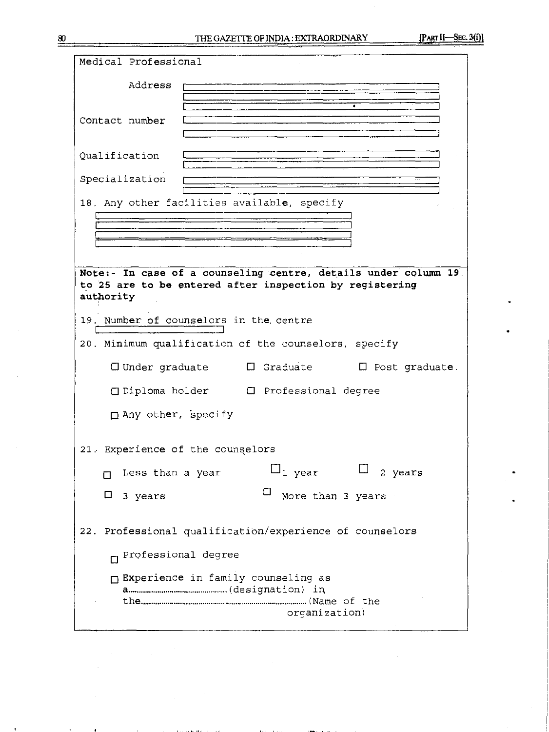| Medical Professional                                                                                                                   |
|----------------------------------------------------------------------------------------------------------------------------------------|
| Address                                                                                                                                |
| Contact number                                                                                                                         |
| Qualification                                                                                                                          |
| Specialization                                                                                                                         |
| 18. Any other facilities available, specify                                                                                            |
| Note:- In case of a counseling centre, details under column 19<br>to 25 are to be entered after inspection by registering<br>authority |
| 19. Number of counselors in the centre                                                                                                 |
| 20. Minimum qualification of the counselors, specify                                                                                   |
| $\square$ Under graduate $\square$ Graduate $\square$ Post graduate.                                                                   |
| □ Diploma holder □ Professional degree                                                                                                 |
| $\Box$ Any other, specify                                                                                                              |
| 21. Experience of the counselors                                                                                                       |
| $\sqcup_1$ year $\sqcup_2$ years<br>Less than a year                                                                                   |
| Ц<br>More than 3 years<br>$\Box$<br>3 years                                                                                            |
| Professional qualification/experience of counselors<br>22.                                                                             |
| n Professional degree                                                                                                                  |
| □ Experience in family counseling as                                                                                                   |
| organization)                                                                                                                          |

 $\bar{\gamma}$